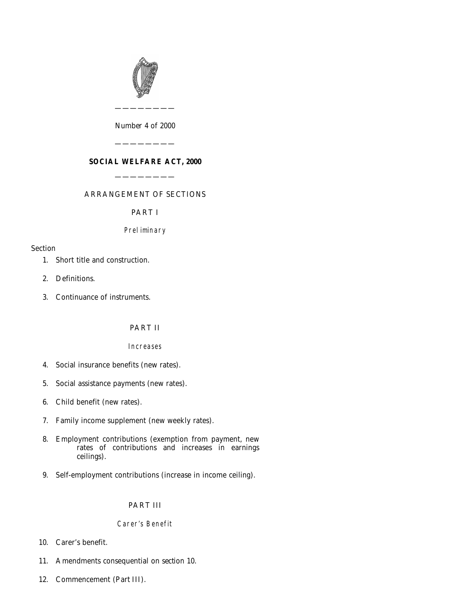

*Number* 4 *of* 2000

————————

———————— **SOCIAL WELFARE ACT, 2000**

————————

# ARRANGEMENT OF SECTIONS

PART I

# Preliminary

# Section

- [1. Short title and construction.](#page-4-0)
- [2. Definitions.](#page-4-0)
- [3. Continuance of instruments.](#page-4-0)

# PART II

# Increases

- [4. Social insurance benefits \(new rates\).](#page-5-0)
- [5. Social assistance payments \(new rates\).](#page-5-0)
- [6. Child benefit \(new rates\).](#page-5-0)
- [7. Family income supplement \(new weekly rates\).](#page-6-0)
- [8. Employment contributions \(exemption from payment, new](#page-6-0) rates of contributions and increases in earnings ceilings).
- [9. Self-employment contributions \(increase in income ceiling\).](#page-7-0)

# PART III

# Carer's Benefit

- [10. Carer's benefit.](#page-7-0)
- [11. Amendments consequential on](#page-11-0) *section 10*.
- [12. Commencement \(](#page-12-0)*Part III*).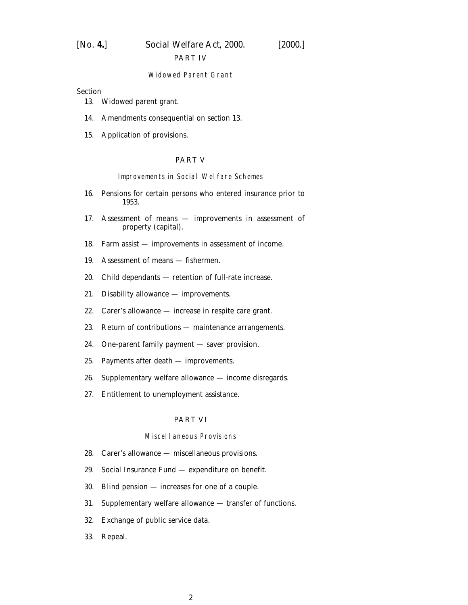#### PART IV

#### Widowed Parent Grant

**Section** 

- [13. Widowed parent grant.](#page-12-0)
- [14. Amendments consequential on](#page-13-0) *section 13.*
- [15. Application of provisions.](#page-13-0)

### PART V

Improvements in Social Welfare Schemes

- [16. Pensions for certain persons who entered insurance prior to](#page-13-0) 1953.
- [17. Assessment of means improvements in assessment of](#page-14-0) property (capital).
- [18. Farm assist improvements in assessment of income.](#page-17-0)
- [19. Assessment of means fishermen.](#page-17-0)
- [20. Child dependants retention of full-rate increase.](#page-18-0)
- [21. Disability allowance improvements.](#page-18-0)
- [22. Carer's allowance increase in respite care grant.](#page-19-0)
- [23. Return of contributions maintenance arrangements.](#page-19-0)
- [24. One-parent family payment saver provision.](#page-19-0)
- [25. Payments after death improvements.](#page-19-0)
- [26. Supplementary welfare allowance income disregards.](#page-20-0)
- [27. Entitlement to unemployment assistance.](#page-21-0)

#### PART VI

#### Miscellaneous Provisions

- [28. Carer's allowance miscellaneous provisions.](#page-21-0)
- [29. Social Insurance Fund expenditure on benefit.](#page-22-0)
- [30. Blind pension increases for one of a couple.](#page-24-0)
- [31. Supplementary welfare allowance transfer of functions.](#page-24-0)
- [32. Exchange of public service data.](#page-26-0)
- [33. Repeal.](#page-28-0)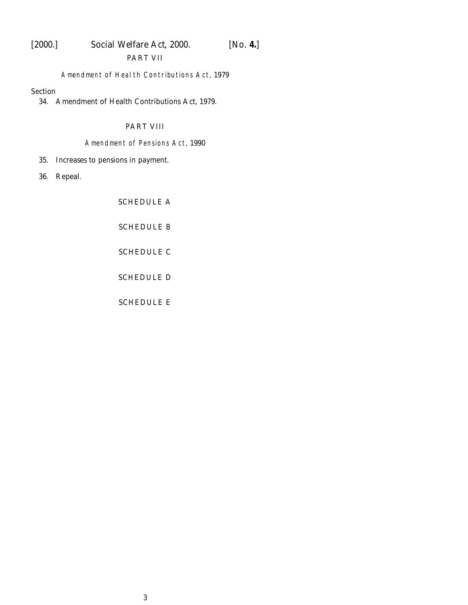# [2000.] *Social Welfare Act,* 2000. [*No.* **4.**] PART VII

## Amendment of Health Contributions Act, 1979

#### Section

[34. Amendment of Health Contributions Act, 1979.](#page-29-0)

# PART VIII

# Amendment of Pensions Act, 1990

[35. Increases to pensions in payment.](#page-29-0)

[36. Repeal.](#page-30-0)

[SCHEDULE A](#page-31-0)

[SCHEDULE B](#page-33-0)

[SCHEDULE C](#page-38-0)

[SCHEDULE D](#page-39-0)

[SCHEDULE E](#page-40-0)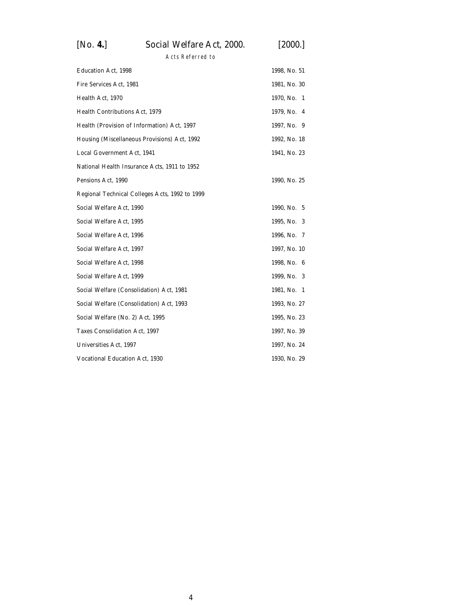# [*No.* **4.**] *Social Welfare Act,* 2000. [2000.]

Acts Referred to

| <b>Education Act, 1998</b>                     | 1998, No. 51     |
|------------------------------------------------|------------------|
| Fire Services Act, 1981                        | 1981, No. 30     |
| Health Act, 1970                               | 1970, No.<br>- 1 |
| Health Contributions Act, 1979                 | 1979, No.<br>4   |
| Health (Provision of Information) Act, 1997    | 1997, No. 9      |
| Housing (Miscellaneous Provisions) Act, 1992   | 1992, No. 18     |
| Local Government Act, 1941                     | 1941, No. 23     |
| National Health Insurance Acts, 1911 to 1952   |                  |
| Pensions Act, 1990                             | 1990, No. 25     |
| Regional Technical Colleges Acts, 1992 to 1999 |                  |
| Social Welfare Act, 1990                       | 1990, No. 5      |
| Social Welfare Act, 1995                       | 1995, No. 3      |
| Social Welfare Act, 1996                       | 1996, No. 7      |
| Social Welfare Act, 1997                       | 1997, No. 10     |
| Social Welfare Act, 1998                       | 1998, No. 6      |
| Social Welfare Act, 1999                       | 1999, No. 3      |
| Social Welfare (Consolidation) Act, 1981       | 1981, No. 1      |
| Social Welfare (Consolidation) Act, 1993       | 1993, No. 27     |
| Social Welfare (No. 2) Act, 1995               | 1995, No. 23     |
| Taxes Consolidation Act, 1997                  | 1997, No. 39     |
| Universities Act, 1997                         | 1997, No. 24     |
| Vocational Education Act, 1930                 | 1930, No. 29     |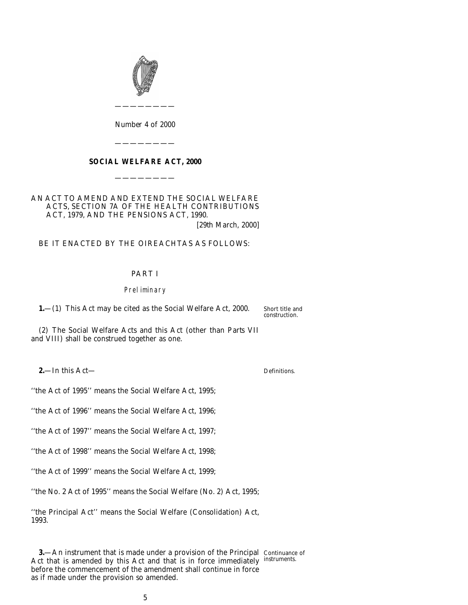<span id="page-4-0"></span>

*Number* 4 *of* 2000

————————

## **SOCIAL WELFARE ACT, 2000**

————————

————————

# AN ACT TO AMEND AND EXTEND THE SOCIAL WELFARE ACTS, SECTION 7A OF THE HEALTH CONTRIBUTIONS ACT, 1979, AND THE PENSIONS ACT, 1990.

[29*th March,* 2000]

## BE IT ENACTED BY THE OIREACHTAS AS FOLLOWS:

## PART I

#### Preliminary

**1.**—(1) This Act may be cited as the Social Welfare Act, 2000.

Short title and construction.

(2) The Social Welfare Acts and this Act (other than *Parts VII* and *VIII*) shall be construed together as one.

**2.**—In this Act—

''the Act of 1995'' means the Social Welfare Act, 1995;

''the Act of 1996'' means the Social Welfare Act, 1996;

''the Act of 1997'' means the Social Welfare Act, 1997;

''the Act of 1998'' means the Social Welfare Act, 1998;

''the Act of 1999'' means the Social Welfare Act, 1999;

''the No. 2 Act of 1995'' means the Social Welfare (No. 2) Act, 1995;

''the Principal Act'' means the Social Welfare (Consolidation) Act, 1993.

**3.**—An instrument that is made under a provision of the Principal Continuance of Act that is amended by this Act and that is in force immediately instruments. before the commencement of the amendment shall continue in force as if made under the provision so amended.

Definitions.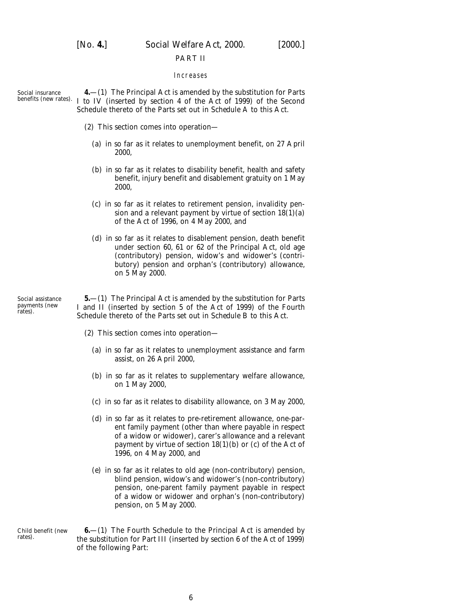<span id="page-5-0"></span>

[*No.* **4.**] *Social Welfare Act,* 2000. [2000.]

#### PART II

#### Increases

Social insurance

benefits (new rates). I to IV (inserted by section 4 of the Act of 1999) of the Second **4.**—(1) The Principal Act is amended by the substitution for Parts Schedule thereto of the Parts set out in *Schedule A* to this Act.

- (2) This section comes into operation—
	- (*a*) in so far as it relates to unemployment benefit, on 27 April 2000,
	- (*b*) in so far as it relates to disability benefit, health and safety benefit, injury benefit and disablement gratuity on 1 May 2000,
	- (*c*) in so far as it relates to retirement pension, invalidity pension and a relevant payment by virtue of section 18(1)(*a*) of the Act of 1996, on 4 May 2000, and
	- (*d*) in so far as it relates to disablement pension, death benefit under section 60, 61 or 62 of the Principal Act, old age (contributory) pension, widow's and widower's (contributory) pension and orphan's (contributory) allowance, on 5 May 2000.

Social assistance payments (new rates).

rates).

**5.**—(1) The Principal Act is amended by the substitution for Parts I and II (inserted by section 5 of the Act of 1999) of the Fourth Schedule thereto of the Parts set out in *Schedule B* to this Act.

- (2) This section comes into operation—
	- (*a*) in so far as it relates to unemployment assistance and farm assist, on 26 April 2000,
	- (*b*) in so far as it relates to supplementary welfare allowance, on 1 May 2000,
	- (*c*) in so far as it relates to disability allowance, on 3 May 2000,
	- (*d*) in so far as it relates to pre-retirement allowance, one-parent family payment (other than where payable in respect of a widow or widower), carer's allowance and a relevant payment by virtue of section 18(1)(*b*) or (*c*) of the Act of 1996, on 4 May 2000, and
	- (*e*) in so far as it relates to old age (non-contributory) pension, blind pension, widow's and widower's (non-contributory) pension, one-parent family payment payable in respect of a widow or widower and orphan's (non-contributory) pension, on 5 May 2000.

Child benefit (new **6.**—(1) The Fourth Schedule to the Principal Act is amended by the substitution for Part III (inserted by section 6 of the Act of 1999) of the following Part: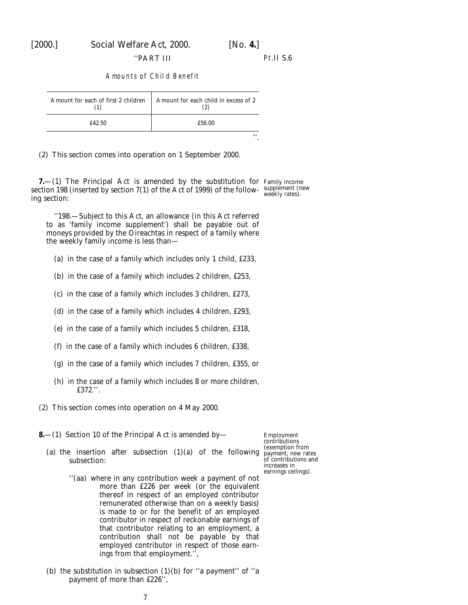''PART III Pt.II S.6

#### Amounts of Child Benefit

<span id="page-6-0"></span>

| Amount for each of first 2 children | Amount for each child in excess of 2 |
|-------------------------------------|--------------------------------------|
| £42.50                              | £56.00                               |
|                                     | , ,                                  |

(2) This section comes into operation on 1 September 2000.

**7.**—(1) The Principal Act is amended by the substitution for Family income section 198 (inserted by section  $7(1)$  of the Act of 1999) of the follow-supplement (new ing section:

''198.—Subject to this Act, an allowance (in this Act referred to as 'family income supplement') shall be payable out of moneys provided by the Oireachtas in respect of a family where the weekly family income is less than—

(*a*) in the case of a family which includes only 1 child, £233,

(*b*) in the case of a family which includes 2 children, £253,

- (*c*) in the case of a family which includes 3 children, £273,
- (*d*) in the case of a family which includes 4 children, £293,
- (*e*) in the case of a family which includes 5 children, £318,
- (*f*) in the case of a family which includes 6 children, £338,
- (*g*) in the case of a family which includes 7 children, £355, or
- (*h*) in the case of a family which includes 8 or more children, £372.''.
- (2) This section comes into operation on 4 May 2000.
- **8.**—(1) Section 10 of the Principal Act is amended by—
	- (*a*) the insertion after subsection  $(1)(a)$  of the following payment, new rates subsection:

Employment contributions (exemption from of contributions and increases in earnings ceilings).

- ''(*aa*) where in any contribution week a payment of not more than £226 per week (or the equivalent thereof in respect of an employed contributor remunerated otherwise than on a weekly basis) is made to or for the benefit of an employed contributor in respect of reckonable earnings of that contributor relating to an employment, a contribution shall not be payable by that employed contributor in respect of those earnings from that employment.'',
- (*b*) the substitution in subsection  $(1)(b)$  for "a payment" of "a payment of more than £226'',

weekly rates).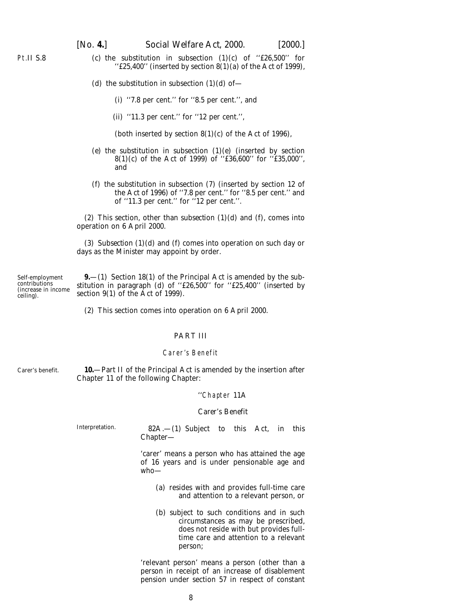<span id="page-7-0"></span>Pt.II S.8

[*No.* **4.**] *Social Welfare Act,* 2000. [2000.]

- (*c*) the substitution in subsection  $(1)(c)$  of "£26,500" for ''£25,400'' (inserted by section 8(1)(*a*) of the Act of 1999),
	- (*d*) the substitution in subsection  $(1)(d)$  of
		- (i) ''7.8 per cent.'' for ''8.5 per cent.'', and
		- (ii) ''11.3 per cent.'' for ''12 per cent.'',
		- (both inserted by section  $8(1)(c)$  of the Act of 1996),
	- (*e*) the substitution in subsection (1)(*e*) (inserted by section 8(1)(*c*) of the Act of 1999) of ''£36,600'' for ''£35,000'', and
	- (*f*) the substitution in subsection (7) (inserted by section 12 of the Act of 1996) of ''7.8 per cent.'' for ''8.5 per cent.'' and of ''11.3 per cent.'' for ''12 per cent.''.

(2) This section, other than *subsection (1)(d)* and *(f)*, comes into operation on 6 April 2000.

(3) *Subsection (1)(d)* and *(f)* comes into operation on such day or days as the Minister may appoint by order.

Self-employment contributions (increase in income ceiling). **9.**—(1) Section 18(1) of the Principal Act is amended by the substitution in paragraph (*d*) of ''£26,500'' for ''£25,400'' (inserted by section 9(1) of the Act of 1999).

(2) This section comes into operation on 6 April 2000.

## PART III

#### Carer's Benefit

Carer's benefit.

**10.**—Part II of the Principal Act is amended by the insertion after Chapter 11 of the following Chapter:

#### ''Chapter 11A

#### *Carer's Benefit*

Interpretation. 82A.—(1) Subject to this Act, in this Chapter—

> 'carer' means a person who has attained the age of 16 years and is under pensionable age and who—

- (*a*) resides with and provides full-time care and attention to a relevant person, or
- (*b*) subject to such conditions and in such circumstances as may be prescribed, does not reside with but provides fulltime care and attention to a relevant person;

'relevant person' means a person (other than a person in receipt of an increase of disablement pension under section 57 in respect of constant

8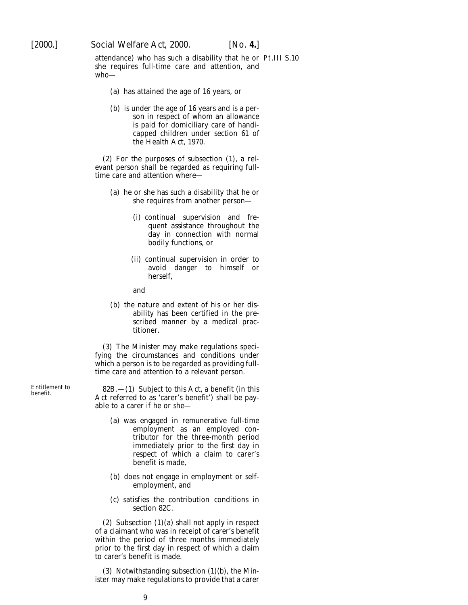attendance) who has such a disability that he or Pt.III S.10 she requires full-time care and attention, and who—

- (*a*) has attained the age of 16 years, or
- (*b*) is under the age of 16 years and is a person in respect of whom an allowance is paid for domiciliary care of handicapped children under section 61 of the Health Act, 1970.

(2) For the purposes of subsection (1), a relevant person shall be regarded as requiring fulltime care and attention where—

- (*a*) he or she has such a disability that he or she requires from another person—
	- (i) continual supervision and frequent assistance throughout the day in connection with normal bodily functions, or
	- (ii) continual supervision in order to avoid danger to himself or herself,
	- and
- (*b*) the nature and extent of his or her disability has been certified in the prescribed manner by a medical practitioner.

(3) The Minister may make regulations specifying the circumstances and conditions under which a person is to be regarded as providing fulltime care and attention to a relevant person.

Entitlement to 82B.—(1) Subject to this Act, a benefit (in this benefit.<br>Act referred to as 'carer's benefit') shall be payable to a carer if he or she—

- (*a*) was engaged in remunerative full-time employment as an employed contributor for the three-month period immediately prior to the first day in respect of which a claim to carer's benefit is made,
- (*b*) does not engage in employment or selfemployment, and
- (*c*) satisfies the contribution conditions in section 82C.

(2) Subsection (1)(*a*) shall not apply in respect of a claimant who was in receipt of carer's benefit within the period of three months immediately prior to the first day in respect of which a claim to carer's benefit is made.

(3) Notwithstanding subsection (1)(*b*), the Minister may make regulations to provide that a carer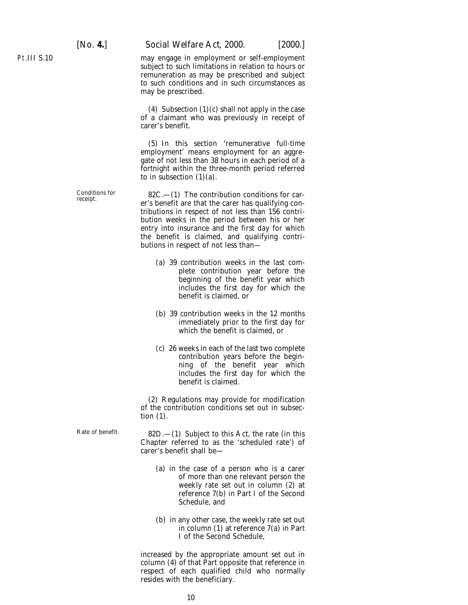Pt.III S.10

[*No.* **4.**] *Social Welfare Act,* 2000. [2000.]

may engage in employment or self-employment subject to such limitations in relation to hours or remuneration as may be prescribed and subject to such conditions and in such circumstances as may be prescribed.

(4) Subsection (1)(*c*) shall not apply in the case of a claimant who was previously in receipt of carer's benefit.

(5) In this section 'remunerative full-time employment' means employment for an aggregate of not less than 38 hours in each period of a fortnight within the three-month period referred to in subsection  $(1)(a)$ .

Conditions for  $82C$ .—(1) The contribution conditions for car-<br>er's benefit are that the carer has qualifying contributions in respect of not less than 156 contribution weeks in the period between his or her entry into insurance and the first day for which the benefit is claimed, and qualifying contributions in respect of not less than—

- (*a*) 39 contribution weeks in the last complete contribution year before the beginning of the benefit year which includes the first day for which the benefit is claimed, or
- (*b*) 39 contribution weeks in the 12 months immediately prior to the first day for which the benefit is claimed, or
- (*c*) 26 weeks in each of the last two complete contribution years before the beginning of the benefit year which includes the first day for which the benefit is claimed.

(2) Regulations may provide for modification of the contribution conditions set out in subsection (1).

Rate of benefit.  $82D - (1)$  Subject to this Act, the rate (in this Chapter referred to as the 'scheduled rate') of carer's benefit shall be—

- (*a*) in the case of a person who is a carer of more than one relevant person the weekly rate set out in column (2) at reference 7(*b*) in Part I of the Second Schedule, and
- (*b*) in any other case, the weekly rate set out in column (1) at reference 7(*a*) in Part I of the Second Schedule,

increased by the appropriate amount set out in column (4) of that Part opposite that reference in respect of each qualified child who normally resides with the beneficiary.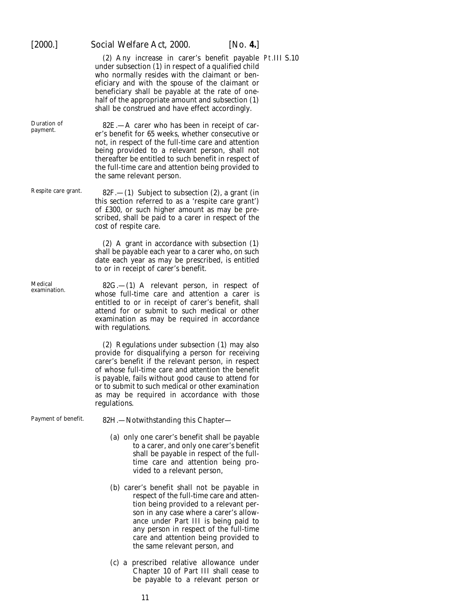(2) Any increase in carer's benefit payable Pt.III S.10 under subsection (1) in respect of a qualified child who normally resides with the claimant or beneficiary and with the spouse of the claimant or beneficiary shall be payable at the rate of onehalf of the appropriate amount and subsection (1) shall be construed and have effect accordingly.

Duration of 82E.—A carer who has been in receipt of car- payment. er's benefit for 65 weeks, whether consecutive or not, in respect of the full-time care and attention being provided to a relevant person, shall not thereafter be entitled to such benefit in respect of the full-time care and attention being provided to the same relevant person.

Respite care grant.  $82F$ .  $- (1)$  Subject to subsection (2), a grant (in this section referred to as a 'respite care grant') of £300, or such higher amount as may be prescribed, shall be paid to a carer in respect of the cost of respite care.

> (2) A grant in accordance with subsection (1) shall be payable each year to a carer who, on such date each year as may be prescribed, is entitled to or in receipt of carer's benefit.

Medical 82G.—(1) A relevant person, in respect of examination. whose full-time care and attention a carer is entitled to or in receipt of carer's benefit, shall attend for or submit to such medical or other examination as may be required in accordance with regulations.

> (2) Regulations under subsection (1) may also provide for disqualifying a person for receiving carer's benefit if the relevant person, in respect of whose full-time care and attention the benefit is payable, fails without good cause to attend for or to submit to such medical or other examination as may be required in accordance with those regulations.

Payment of benefit. 82H.—Notwithstanding this Chapter—

- (*a*) only one carer's benefit shall be payable to a carer, and only one carer's benefit shall be payable in respect of the fulltime care and attention being provided to a relevant person,
- (*b*) carer's benefit shall not be payable in respect of the full-time care and attention being provided to a relevant person in any case where a carer's allowance under Part III is being paid to any person in respect of the full-time care and attention being provided to the same relevant person, and
- (*c*) a prescribed relative allowance under Chapter 10 of Part III shall cease to be payable to a relevant person or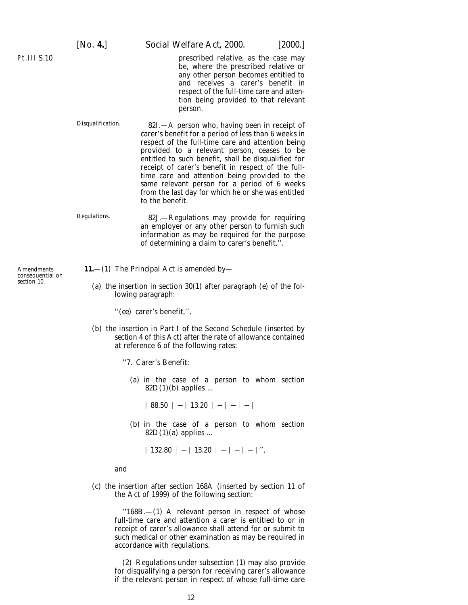prescribed relative, as the case may be, where the prescribed relative or any other person becomes entitled to and receives a carer's benefit in respect of the full-time care and attention being provided to that relevant person.

Disqualification. 82I.—A person who, having been in receipt of carer's benefit for a period of less than 6 weeks in respect of the full-time care and attention being provided to a relevant person, ceases to be entitled to such benefit, shall be disqualified for receipt of carer's benefit in respect of the fulltime care and attention being provided to the same relevant person for a period of 6 weeks from the last day for which he or she was entitled to the benefit.

Regulations. 82J.—Regulations may provide for requiring an employer or any other person to furnish such information as may be required for the purpose of determining a claim to carer's benefit.''.

**11.**—(1) The Principal Act is amended by—

(*a*) the insertion in section 30(1) after paragraph (*e*) of the following paragraph:

''(*ee*) carer's benefit,'',

(*b*) the insertion in Part I of the Second Schedule (inserted by *section 4* of this Act) after the rate of allowance contained at reference 6 of the following rates:

''7. Carer's Benefit:

(*a*) in the case of a person to whom section  $82D(1)(b)$  applies ...

 $| 88.50 | - | 13.20 | - | - | - |$ 

(*b*) in the case of a person to whom section 82D(1)(*a*) applies ...

D 132.80 D − D 13.20 D − D − D − D '',

and

(*c*) the insertion after section 168A (inserted by section 11 of the Act of 1999) of the following section:

> $"168B$ , $-$ (1) A relevant person in respect of whose full-time care and attention a carer is entitled to or in receipt of carer's allowance shall attend for or submit to such medical or other examination as may be required in accordance with regulations.

> (2) Regulations under subsection (1) may also provide for disqualifying a person for receiving carer's allowance if the relevant person in respect of whose full-time care

Amendments consequential on *section 10*.

<span id="page-11-0"></span>Pt.III S.10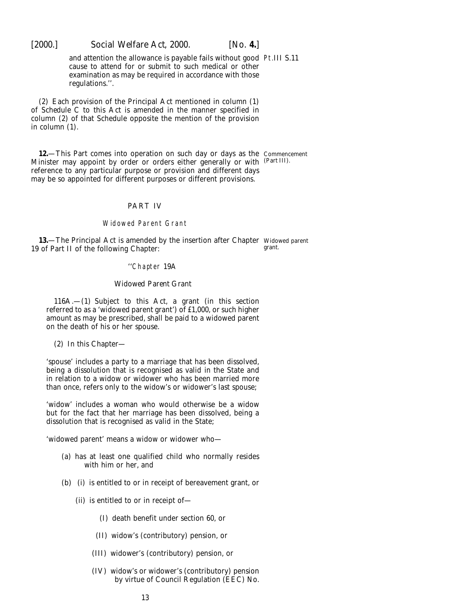<span id="page-12-0"></span>[2000.] *Social Welfare Act,* 2000. [*No.* **4.**]

and attention the allowance is payable fails without good Pt.III S.11 cause to attend for or submit to such medical or other examination as may be required in accordance with those regulations.''.

(2) Each provision of the Principal Act mentioned in *column (1)* of *Schedule C* to this Act is amended in the manner specified in *column (2)* of that Schedule opposite the mention of the provision in *column (1)*.

**12.**—This Part comes into operation on such day or days as the Commencement Minister may appoint by order or orders either generally or with (*Part III*). reference to any particular purpose or provision and different days may be so appointed for different purposes or different provisions.

#### PART IV

#### Widowed Parent Grant

**13.**—The Principal Act is amended by the insertion after Chapter Widowed parent 19 of Part II of the following Chapter: grant.

#### ''Chapter 19A

#### *Widowed Parent Grant*

116A.—(1) Subject to this Act, a grant (in this section referred to as a 'widowed parent grant') of £1,000, or such higher amount as may be prescribed, shall be paid to a widowed parent on the death of his or her spouse.

(2) In this Chapter—

'spouse' includes a party to a marriage that has been dissolved, being a dissolution that is recognised as valid in the State and in relation to a widow or widower who has been married more than once, refers only to the widow's or widower's last spouse;

'widow' includes a woman who would otherwise be a widow but for the fact that her marriage has been dissolved, being a dissolution that is recognised as valid in the State;

'widowed parent' means a widow or widower who—

- (*a*) has at least one qualified child who normally resides with him or her, and
- (*b*) (i) is entitled to or in receipt of bereavement grant, or
	- (ii) is entitled to or in receipt of—
		- (I) death benefit under section 60, or
		- (II) widow's (contributory) pension, or
		- (III) widower's (contributory) pension, or
		- (IV) widow's or widower's (contributory) pension by virtue of Council Regulation (EEC) No.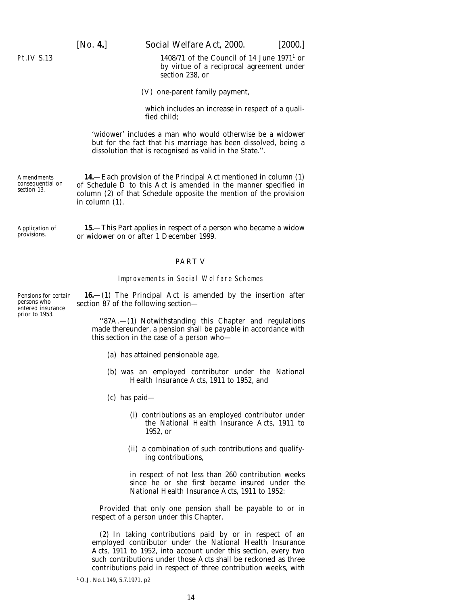<span id="page-13-0"></span>

[*No.* **4.**] *Social Welfare Act,* 2000. [2000.]

1408/71 of the Council of 14 June  $1971<sup>1</sup>$  or by virtue of a reciprocal agreement under section 238, or

(V) one-parent family payment,

which includes an increase in respect of a qualified child;

'widower' includes a man who would otherwise be a widower but for the fact that his marriage has been dissolved, being a dissolution that is recognised as valid in the State.''.

**14.**—Each provision of the Principal Act mentioned in *column (1)* of *Schedule D* to this Act is amended in the manner specified in *column (2)* of that Schedule opposite the mention of the provision in *column (1)*.

Application of provisions. **15.**—This Part applies in respect of a person who became a widow or widower on or after 1 December 1999.

#### PART V

#### Improvements in Social Welfare Schemes

**16.**—(1) The Principal Act is amended by the insertion after section 87 of the following section—

''87A.—(1) Notwithstanding this Chapter and regulations made thereunder, a pension shall be payable in accordance with this section in the case of a person who—

- (*a*) has attained pensionable age,
- (*b*) was an employed contributor under the National Health Insurance Acts, 1911 to 1952, and
- (*c*) has paid—
	- (i) contributions as an employed contributor under the National Health Insurance Acts, 1911 to 1952, or
	- (ii) a combination of such contributions and qualifying contributions,

in respect of not less than 260 contribution weeks since he or she first became insured under the National Health Insurance Acts, 1911 to 1952:

Provided that only one pension shall be payable to or in respect of a person under this Chapter.

(2) In taking contributions paid by or in respect of an employed contributor under the National Health Insurance Acts, 1911 to 1952, into account under this section, every two such contributions under those Acts shall be reckoned as three contributions paid in respect of three contribution weeks, with

Pensions for certain persons who entered insurance prior to 1953.

**Amendments** consequential on *section 13.*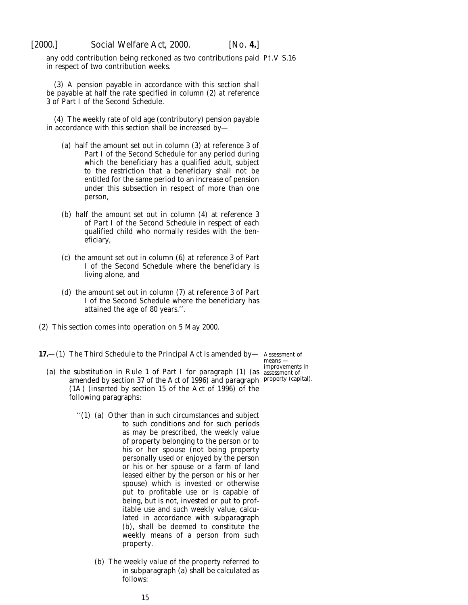<span id="page-14-0"></span>

any odd contribution being reckoned as two contributions paid Pt.V S.16 in respect of two contribution weeks.

(3) A pension payable in accordance with this section shall be payable at half the rate specified in column (2) at reference 3 of Part I of the Second Schedule.

(4) The weekly rate of old age (contributory) pension payable in accordance with this section shall be increased by—

- (*a*) half the amount set out in column (3) at reference 3 of Part I of the Second Schedule for any period during which the beneficiary has a qualified adult, subject to the restriction that a beneficiary shall not be entitled for the same period to an increase of pension under this subsection in respect of more than one person,
- (*b*) half the amount set out in column (4) at reference 3 of Part I of the Second Schedule in respect of each qualified child who normally resides with the beneficiary,
- (*c*) the amount set out in column (6) at reference 3 of Part I of the Second Schedule where the beneficiary is living alone, and
- (*d*) the amount set out in column (7) at reference 3 of Part I of the Second Schedule where the beneficiary has attained the age of 80 years.''.
- (2) This section comes into operation on 5 May 2000.
- **17.—(1)** The Third Schedule to the Principal Act is amended by— Assessment of
	- (*a*) the substitution in Rule 1 of Part I for paragraph (1) (as assessment of amended by section 37 of the Act of 1996) and paragraph property (capital).(1A) (inserted by section 15 of the Act of 1996) of the following paragraphs:
		- ''(1) (*a*) Other than in such circumstances and subject to such conditions and for such periods as may be prescribed, the weekly value of property belonging to the person or to his or her spouse (not being property personally used or enjoyed by the person or his or her spouse or a farm of land leased either by the person or his or her spouse) which is invested or otherwise put to profitable use or is capable of being, but is not, invested or put to profitable use and such weekly value, calculated in accordance with subparagraph (*b*), shall be deemed to constitute the weekly means of a person from such property.
			- (*b*) The weekly value of the property referred to in subparagraph (*a*) shall be calculated as follows:

means improvements in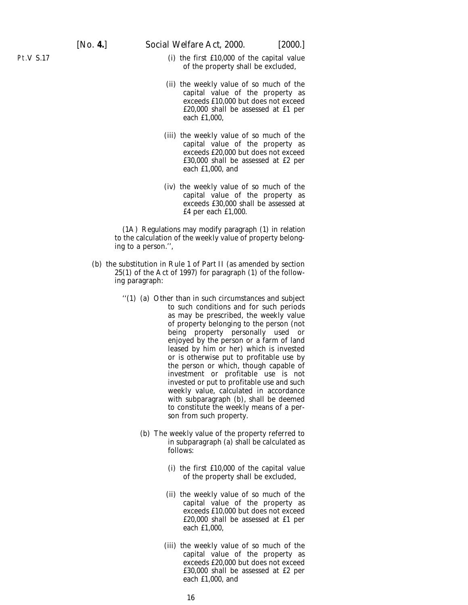Pt.V S.17

- (i) the first £10,000 of the capital value of the property shall be excluded,
- (ii) the weekly value of so much of the capital value of the property as exceeds £10,000 but does not exceed £20,000 shall be assessed at £1 per each £1,000,
- (iii) the weekly value of so much of the capital value of the property as exceeds £20,000 but does not exceed £30,000 shall be assessed at £2 per each £1,000, and
- (iv) the weekly value of so much of the capital value of the property as exceeds £30,000 shall be assessed at £4 per each £1,000.

(1A) Regulations may modify paragraph (1) in relation to the calculation of the weekly value of property belonging to a person.'',

- (*b*) the substitution in Rule 1 of Part II (as amended by section 25(1) of the Act of 1997) for paragraph (1) of the following paragraph:
	- ''(1) (*a*) Other than in such circumstances and subject to such conditions and for such periods as may be prescribed, the weekly value of property belonging to the person (not being property personally used or enjoyed by the person or a farm of land leased by him or her) which is invested or is otherwise put to profitable use by the person or which, though capable of investment or profitable use is not invested or put to profitable use and such weekly value, calculated in accordance with subparagraph (*b*), shall be deemed to constitute the weekly means of a person from such property.
		- (*b*) The weekly value of the property referred to in subparagraph (*a*) shall be calculated as follows:
			- (i) the first £10,000 of the capital value of the property shall be excluded,
			- (ii) the weekly value of so much of the capital value of the property as exceeds £10,000 but does not exceed £20,000 shall be assessed at £1 per each £1,000,
			- (iii) the weekly value of so much of the capital value of the property as exceeds £20,000 but does not exceed £30,000 shall be assessed at £2 per each £1,000, and

16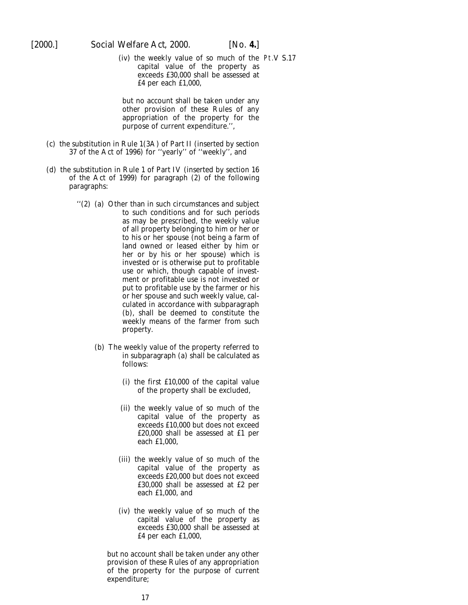(iv) the weekly value of so much of the Pt.V S.17 capital value of the property as exceeds £30,000 shall be assessed at £4 per each £1,000,

but no account shall be taken under any other provision of these Rules of any appropriation of the property for the purpose of current expenditure.'',

- (*c*) the substitution in Rule 1(3A) of Part II (inserted by section 37 of the Act of 1996) for ''yearly'' of ''weekly'', and
- (*d*) the substitution in Rule 1 of Part IV (inserted by section 16 of the Act of 1999) for paragraph (2) of the following paragraphs:
	- ''(2) (*a*) Other than in such circumstances and subject to such conditions and for such periods as may be prescribed, the weekly value of all property belonging to him or her or to his or her spouse (not being a farm of land owned or leased either by him or her or by his or her spouse) which is invested or is otherwise put to profitable use or which, though capable of investment or profitable use is not invested or put to profitable use by the farmer or his or her spouse and such weekly value, calculated in accordance with subparagraph (*b*), shall be deemed to constitute the weekly means of the farmer from such property.
		- (*b*) The weekly value of the property referred to in subparagraph (*a*) shall be calculated as follows:
			- (i) the first £10,000 of the capital value of the property shall be excluded,
			- (ii) the weekly value of so much of the capital value of the property as exceeds £10,000 but does not exceed £20,000 shall be assessed at £1 per each £1,000,
			- (iii) the weekly value of so much of the capital value of the property as exceeds £20,000 but does not exceed £30,000 shall be assessed at £2 per each £1,000, and
			- (iv) the weekly value of so much of the capital value of the property as exceeds £30,000 shall be assessed at £4 per each £1,000,

but no account shall be taken under any other provision of these Rules of any appropriation of the property for the purpose of current expenditure;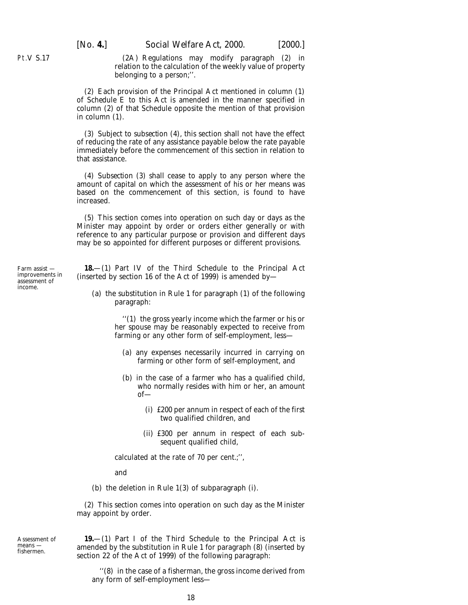(2A) Regulations may modify paragraph (2) in relation to the calculation of the weekly value of property belonging to a person;''.

(2) Each provision of the Principal Act mentioned in *column (1)* of *Schedule E* to this Act is amended in the manner specified in *column (2)* of that Schedule opposite the mention of that provision in *column (1).*

(3) Subject to *subsection (4)*, this section shall not have the effect of reducing the rate of any assistance payable below the rate payable immediately before the commencement of this section in relation to that assistance.

(4) *Subsection (3)* shall cease to apply to any person where the amount of capital on which the assessment of his or her means was based on the commencement of this section, is found to have increased.

(5) This section comes into operation on such day or days as the Minister may appoint by order or orders either generally or with reference to any particular purpose or provision and different days may be so appointed for different purposes or different provisions.

**18.**—(1) Part IV of the Third Schedule to the Principal Act (inserted by section 16 of the Act of 1999) is amended by—

(*a*) the substitution in Rule 1 for paragraph (1) of the following paragraph:

> ''(1) the gross yearly income which the farmer or his or her spouse may be reasonably expected to receive from farming or any other form of self-employment, less—

- (*a*) any expenses necessarily incurred in carrying on farming or other form of self-employment, and
- (*b*) in the case of a farmer who has a qualified child, who normally resides with him or her, an amount of—
	- (i) £200 per annum in respect of each of the first two qualified children, and
	- (ii) £300 per annum in respect of each subsequent qualified child,

calculated at the rate of 70 per cent.;'',

and

(*b*) the deletion in Rule 1(3) of subparagraph (i).

(2) This section comes into operation on such day as the Minister may appoint by order.

Assessment of means fishermen.

**19.**—(1) Part I of the Third Schedule to the Principal Act is amended by the substitution in Rule 1 for paragraph (8) (inserted by section 22 of the Act of 1999) of the following paragraph:

''(8) in the case of a fisherman, the gross income derived from any form of self-employment less-

<span id="page-17-0"></span>Pt.V S.17

Farm assist improvements in assessment of income.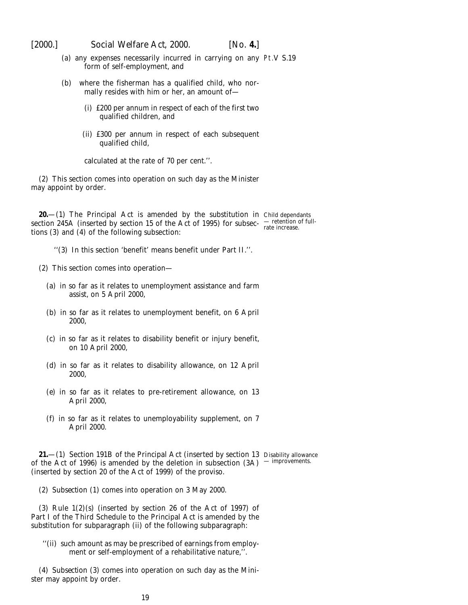<span id="page-18-0"></span>

- (*a*) any expenses necessarily incurred in carrying on any Pt.V S.19 form of self-employment, and
- (*b*) where the fisherman has a qualified child, who normally resides with him or her, an amount of—
	- (i) £200 per annum in respect of each of the first two qualified children, and
	- (ii) £300 per annum in respect of each subsequent qualified child,

calculated at the rate of 70 per cent.''.

(2) This section comes into operation on such day as the Minister may appoint by order.

**20.**—(1) The Principal Act is amended by the substitution in Child dependants section 245A (inserted by section 15 of the Act of 1995) for subsec-  $\frac{1}{\text{rate}}$  increase. tions (3) and (4) of the following subsection:

''(3) In this section 'benefit' means benefit under Part II.''.

- (2) This section comes into operation—
	- (*a*) in so far as it relates to unemployment assistance and farm assist, on 5 April 2000,
	- (*b*) in so far as it relates to unemployment benefit, on 6 April 2000,
	- (*c*) in so far as it relates to disability benefit or injury benefit, on 10 April 2000,
	- (*d*) in so far as it relates to disability allowance, on 12 April 2000,
	- (*e*) in so far as it relates to pre-retirement allowance, on 13 April 2000,
	- (*f*) in so far as it relates to unemployability supplement, on 7 April 2000.

**21.**—(1) Section 191B of the Principal Act (inserted by section 13 Disability allowance of the Act of 1996) is amended by the deletion in subsection  $(3A)$  -improvements. (inserted by section 20 of the Act of 1999) of the proviso.

(2) *Subsection (1)* comes into operation on 3 May 2000.

(3) Rule 1(2)(*s*) (inserted by section 26 of the Act of 1997) of Part I of the Third Schedule to the Principal Act is amended by the substitution for subparagraph (ii) of the following subparagraph:

''(ii) such amount as may be prescribed of earnings from employment or self-employment of a rehabilitative nature,".

(4) *Subsection (3)* comes into operation on such day as the Minister may appoint by order.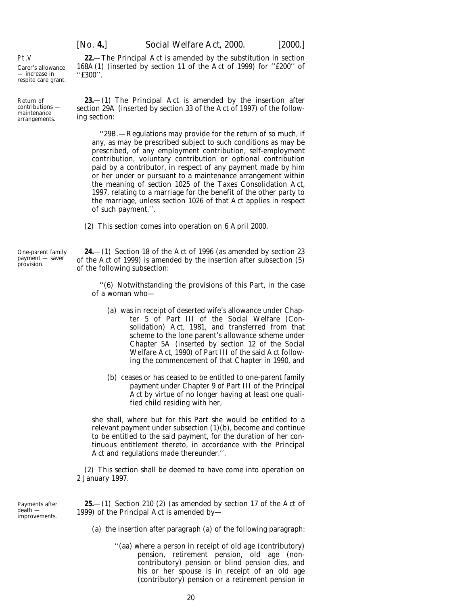''£300''.

168A(1) (inserted by section 11 of the Act of 1999) for ''£200'' of

<span id="page-19-0"></span>Pt.V Carer's allowance — increase in respite care grant.

maintenance arrangements.

Return of contributions —

**23.**—(1) The Principal Act is amended by the insertion after section 29A (inserted by section 33 of the Act of 1997) of the following section:

''29B.—Regulations may provide for the return of so much, if any, as may be prescribed subject to such conditions as may be prescribed, of any employment contribution, self-employment contribution, voluntary contribution or optional contribution paid by a contributor, in respect of any payment made by him or her under or pursuant to a maintenance arrangement within the meaning of section 1025 of the Taxes Consolidation Act, 1997, relating to a marriage for the benefit of the other party to the marriage, unless section 1026 of that Act applies in respect of such payment.''.

(2) This section comes into operation on 6 April 2000.

**24.**—(1) Section 18 of the Act of 1996 (as amended by section 23 of the Act of 1999) is amended by the insertion after subsection (5) of the following subsection:

''(6) Notwithstanding the provisions of this Part, in the case of a woman who—

- (*a*) was in receipt of deserted wife's allowance under Chapter 5 of Part III of the Social Welfare (Consolidation) Act, 1981, and transferred from that scheme to the lone parent's allowance scheme under Chapter 5A (inserted by section 12 of the Social Welfare Act, 1990) of Part III of the said Act following the commencement of that Chapter in 1990, and
- (*b*) ceases or has ceased to be entitled to one-parent family payment under Chapter 9 of Part III of the Principal Act by virtue of no longer having at least one qualified child residing with her,

she shall, where but for this Part she would be entitled to a relevant payment under subsection (1)(*b*), become and continue to be entitled to the said payment, for the duration of her continuous entitlement thereto, in accordance with the Principal Act and regulations made thereunder.''.

(2) This section shall be deemed to have come into operation on 2 January 1997.

Payments after death improvements.

**25.**—(1) Section 210 (2) (as amended by section 17 of the Act of 1999) of the Principal Act is amended by—

- (*a*) the insertion after paragraph (*a*) of the following paragraph:
	- ''(*aa*) where a person in receipt of old age (contributory) pension, retirement pension, old age (noncontributory) pension or blind pension dies, and his or her spouse is in receipt of an old age (contributory) pension or a retirement pension in

One-parent family payment — saver provision.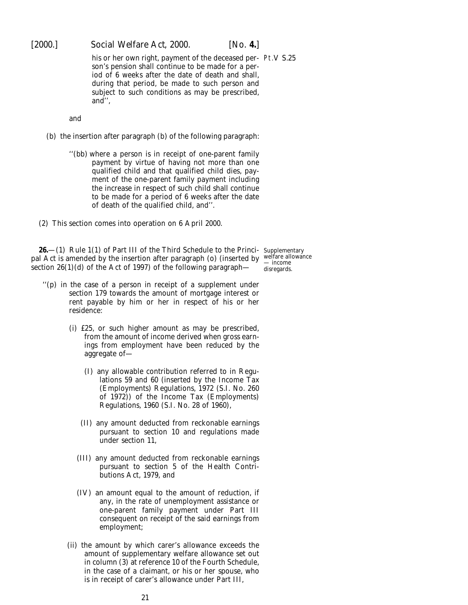<span id="page-20-0"></span>

his or her own right, payment of the deceased per- Pt.V S.25 son's pension shall continue to be made for a period of 6 weeks after the date of death and shall, during that period, be made to such person and subject to such conditions as may be prescribed, and'',

and

- (*b*) the insertion after paragraph (*b*) of the following paragraph:
	- ''(*bb*) where a person is in receipt of one-parent family payment by virtue of having not more than one qualified child and that qualified child dies, payment of the one-parent family payment including the increase in respect of such child shall continue to be made for a period of 6 weeks after the date of death of the qualified child, and''.
- (2) This section comes into operation on 6 April 2000.

**26.**—(1) Rule 1(1) of Part III of the Third Schedule to the Principal Act is amended by the insertion after paragraph (*o*) (inserted by section 26(1)(*d*) of the Act of 1997) of the following paragraph—

Supplementary welfare allowance — income disregards.

- $''(p)$  in the case of a person in receipt of a supplement under section 179 towards the amount of mortgage interest or rent payable by him or her in respect of his or her residence:
	- (i) £25, or such higher amount as may be prescribed, from the amount of income derived when gross earnings from employment have been reduced by the aggregate of—
		- (I) any allowable contribution referred to in Regulations 59 and 60 (inserted by the Income Tax (Employments) Regulations, 1972 (S.I. No. 260 of 1972)) of the Income Tax (Employments) Regulations, 1960 (S.I. No. 28 of 1960),
		- (II) any amount deducted from reckonable earnings pursuant to section 10 and regulations made under section 11,
		- (III) any amount deducted from reckonable earnings pursuant to section 5 of the Health Contributions Act, 1979, and
		- (IV) an amount equal to the amount of reduction, if any, in the rate of unemployment assistance or one-parent family payment under Part III consequent on receipt of the said earnings from employment;
	- (ii) the amount by which carer's allowance exceeds the amount of supplementary welfare allowance set out in column (3) at reference 10 of the Fourth Schedule, in the case of a claimant, or his or her spouse, who is in receipt of carer's allowance under Part III,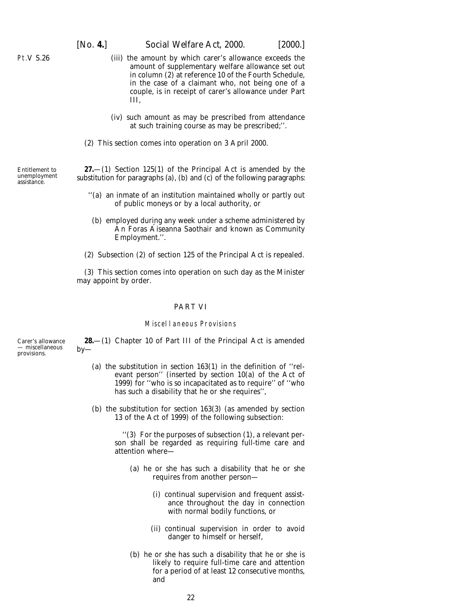- (iii) the amount by which carer's allowance exceeds the amount of supplementary welfare allowance set out in column (2) at reference 10 of the Fourth Schedule, in the case of a claimant who, not being one of a couple, is in receipt of carer's allowance under Part III,
- (iv) such amount as may be prescribed from attendance at such training course as may be prescribed;''.
- (2) This section comes into operation on 3 April 2000.

**27.**—(1) Section 125(1) of the Principal Act is amended by the substitution for paragraphs (*a*), (*b*) and (*c*) of the following paragraphs:

- ''(*a*) an inmate of an institution maintained wholly or partly out of public moneys or by a local authority, or
- (*b*) employed during any week under a scheme administered by An Foras Aiseanna Saothair and known as Community Employment.''.
- (2) Subsection (2) of section 125 of the Principal Act is repealed.

(3) This section comes into operation on such day as the Minister may appoint by order.

#### PART VI

#### Miscellaneous Provisions

**28.**—(1) Chapter 10 of Part III of the Principal Act is amended by—

- (*a*) the substitution in section 163(1) in the definition of ''relevant person'' (inserted by section 10(*a*) of the Act of 1999) for ''who is so incapacitated as to require'' of ''who has such a disability that he or she requires'',
- (*b*) the substitution for section 163(3) (as amended by section 13 of the Act of 1999) of the following subsection:

''(3) For the purposes of subsection (1), a relevant person shall be regarded as requiring full-time care and attention where—

- (*a*) he or she has such a disability that he or she requires from another person—
	- (i) continual supervision and frequent assistance throughout the day in connection with normal bodily functions, or
	- (ii) continual supervision in order to avoid danger to himself or herself,
- (*b*) he or she has such a disability that he or she is likely to require full-time care and attention for a period of at least 12 consecutive months, and

Entitlement to unemployment assistance.

Carer's allowance — miscellaneous provisions.

<span id="page-21-0"></span>Pt.V S.26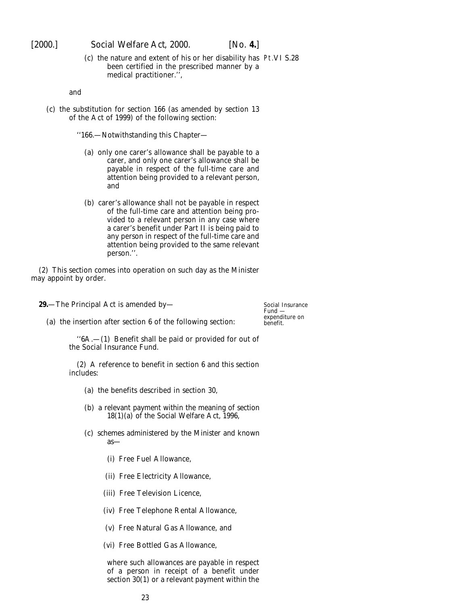<span id="page-22-0"></span>[2000.] *Social Welfare Act,* 2000. [*No.* **4.**]

(*c*) the nature and extent of his or her disability has Pt.VI S.28 been certified in the prescribed manner by a medical practitioner.'

and

(*c*) the substitution for section 166 (as amended by section 13 of the Act of 1999) of the following section:

''166.—Notwithstanding this Chapter—

- (*a*) only one carer's allowance shall be payable to a carer, and only one carer's allowance shall be payable in respect of the full-time care and attention being provided to a relevant person, and
- (*b*) carer's allowance shall not be payable in respect of the full-time care and attention being provided to a relevant person in any case where a carer's benefit under Part II is being paid to any person in respect of the full-time care and attention being provided to the same relevant person.''.

(2) This section comes into operation on such day as the Minister may appoint by order.

**29.**—The Principal Act is amended by—

Social Insurance Fund expenditure on benefit.

(*a*) the insertion after section 6 of the following section:

''6A.—(1) Benefit shall be paid or provided for out of the Social Insurance Fund.

(2) A reference to benefit in section 6 and this section includes:

- (*a*) the benefits described in section 30,
- (*b*) a relevant payment within the meaning of section 18(1)(*a*) of the Social Welfare Act, 1996,
- (*c*) schemes administered by the Minister and known as—
	- (i) Free Fuel Allowance,
	- (ii) Free Electricity Allowance,
	- (iii) Free Television Licence,
	- (iv) Free Telephone Rental Allowance,
	- (v) Free Natural Gas Allowance, and
	- (vi) Free Bottled Gas Allowance,

where such allowances are payable in respect of a person in receipt of a benefit under section 30(1) or a relevant payment within the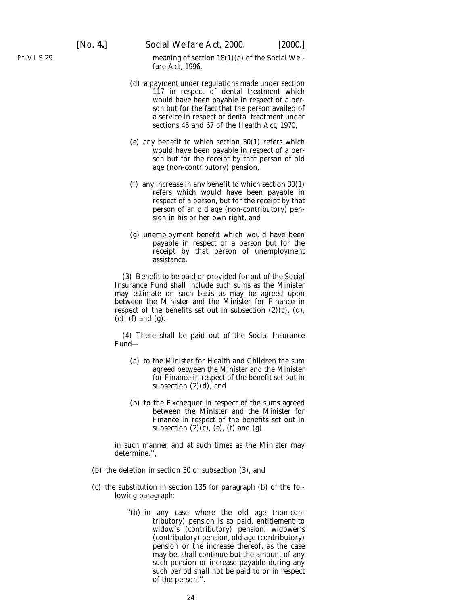[*No.* **4.**] *Social Welfare Act,* 2000. [2000.]

meaning of section 18(1)(*a*) of the Social Welfare Act, 1996,

- (*d*) a payment under regulations made under section 117 in respect of dental treatment which would have been payable in respect of a person but for the fact that the person availed of a service in respect of dental treatment under sections 45 and 67 of the Health Act, 1970,
- (*e*) any benefit to which section 30(1) refers which would have been payable in respect of a person but for the receipt by that person of old age (non-contributory) pension,
- (*f*) any increase in any benefit to which section 30(1) refers which would have been payable in respect of a person, but for the receipt by that person of an old age (non-contributory) pension in his or her own right, and
- (*g*) unemployment benefit which would have been payable in respect of a person but for the receipt by that person of unemployment assistance.

(3) Benefit to be paid or provided for out of the Social Insurance Fund shall include such sums as the Minister may estimate on such basis as may be agreed upon between the Minister and the Minister for Finance in respect of the benefits set out in subsection (2)(*c*), (*d*), (*e*), (*f*) and (*g*).

(4) There shall be paid out of the Social Insurance Fund—

- (*a*) to the Minister for Health and Children the sum agreed between the Minister and the Minister for Finance in respect of the benefit set out in subsection  $(2)(d)$ , and
- (*b*) to the Exchequer in respect of the sums agreed between the Minister and the Minister for Finance in respect of the benefits set out in subsection (2)(*c*), (*e*), (*f*) and (*g*),

in such manner and at such times as the Minister may determine.'',

- (*b*) the deletion in section 30 of subsection (3), and
- (*c*) the substitution in section 135 for paragraph (*b*) of the following paragraph:
	- ''(*b*) in any case where the old age (non-contributory) pension is so paid, entitlement to widow's (contributory) pension, widower's (contributory) pension, old age (contributory) pension or the increase thereof, as the case may be, shall continue but the amount of any such pension or increase payable during any such period shall not be paid to or in respect of the person.''.

Pt.VI S.29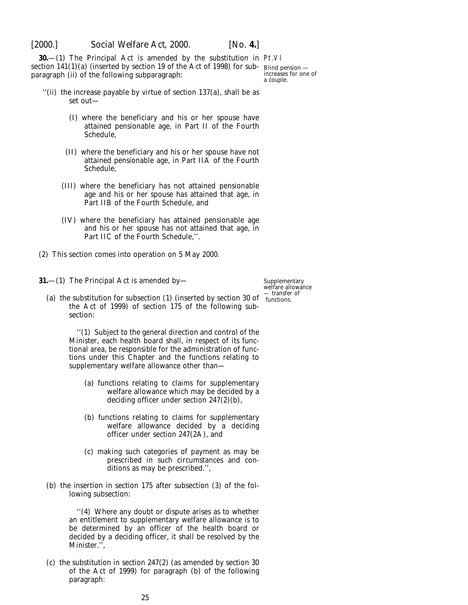<span id="page-24-0"></span>

**30.**—(1) The Principal Act is amended by the substitution in Pt.VI section 141(1)(*a*) (inserted by section 19 of the Act of 1998) for sub-Blind pension paragraph (ii) of the following subparagraph:

increases for one of a couple.

- ''(ii) the increase payable by virtue of section 137(*a*), shall be as set out—
	- (I) where the beneficiary and his or her spouse have attained pensionable age, in Part II of the Fourth Schedule,
	- (II) where the beneficiary and his or her spouse have not attained pensionable age, in Part IIA of the Fourth Schedule,
	- (III) where the beneficiary has not attained pensionable age and his or her spouse has attained that age, in Part IIB of the Fourth Schedule, and
	- (IV) where the beneficiary has attained pensionable age and his or her spouse has not attained that age, in Part IIC of the Fourth Schedule,''.
- (2) This section comes into operation on 5 May 2000.
- **31.**—(1) The Principal Act is amended by—
	- (*a*) the substitution for subsection (1) (inserted by section 30 of functions. the Act of 1999) of section 175 of the following subsection:

''(1) Subject to the general direction and control of the Minister, each health board shall, in respect of its functional area, be responsible for the administration of functions under this Chapter and the functions relating to supplementary welfare allowance other than—

- (*a*) functions relating to claims for supplementary welfare allowance which may be decided by a deciding officer under section 247(2)(*b*),
- (*b*) functions relating to claims for supplementary welfare allowance decided by a deciding officer under section 247(2A), and
- (*c*) making such categories of payment as may be prescribed in such circumstances and conditions as may be prescribed.'',
- (*b*) the insertion in section 175 after subsection (3) of the following subsection:

''(4) Where any doubt or dispute arises as to whether an entitlement to supplementary welfare allowance is to be determined by an officer of the health board or decided by a deciding officer, it shall be resolved by the Minister.'',

(*c*) the substitution in section 247(2) (as amended by section 30 of the Act of 1999) for paragraph (*b*) of the following paragraph:

Supplementary welfare allowance — transfer of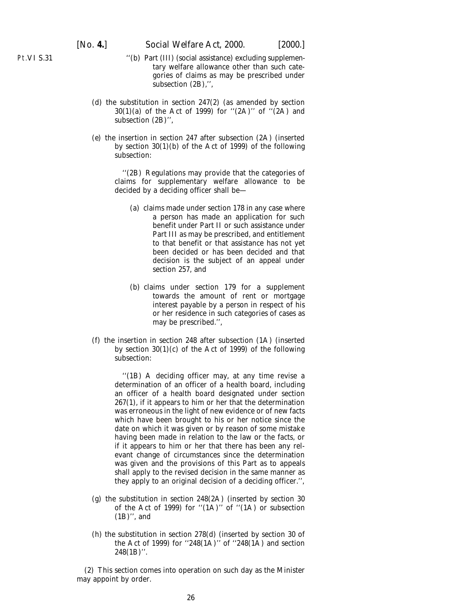Pt.VI S.31

- ''(*b*) Part (III) (social assistance) excluding supplementary welfare allowance other than such categories of claims as may be prescribed under subsection  $(2B)$ ,".
- (*d*) the substitution in section 247(2) (as amended by section 30(1)(*a*) of the Act of 1999) for ''(2A)'' of ''(2A) and subsection (2B)'',
- (*e*) the insertion in section 247 after subsection (2A) (inserted by section 30(1)(*b*) of the Act of 1999) of the following subsection:

''(2B) Regulations may provide that the categories of claims for supplementary welfare allowance to be decided by a deciding officer shall be—

- (*a*) claims made under section 178 in any case where a person has made an application for such benefit under Part II or such assistance under Part III as may be prescribed, and entitlement to that benefit or that assistance has not yet been decided or has been decided and that decision is the subject of an appeal under section 257, and
- (*b*) claims under section 179 for a supplement towards the amount of rent or mortgage interest payable by a person in respect of his or her residence in such categories of cases as may be prescribed.'',
- (*f*) the insertion in section 248 after subsection (1A) (inserted by section  $30(1)(c)$  of the Act of 1999) of the following subsection:

''(1B) A deciding officer may, at any time revise a determination of an officer of a health board, including an officer of a health board designated under section 267(1), if it appears to him or her that the determination was erroneous in the light of new evidence or of new facts which have been brought to his or her notice since the date on which it was given or by reason of some mistake having been made in relation to the law or the facts, or if it appears to him or her that there has been any relevant change of circumstances since the determination was given and the provisions of this Part as to appeals shall apply to the revised decision in the same manner as they apply to an original decision of a deciding officer.'',

- (*g*) the substitution in section 248(2A) (inserted by section 30 of the Act of 1999) for ''(1A)'' of ''(1A) or subsection (1B)'', and
- (*h*) the substitution in section 278(*d*) (inserted by section 30 of the Act of 1999) for ''248(1A)'' of ''248(1A) and section 248(1B)''.

(2) This section comes into operation on such day as the Minister may appoint by order.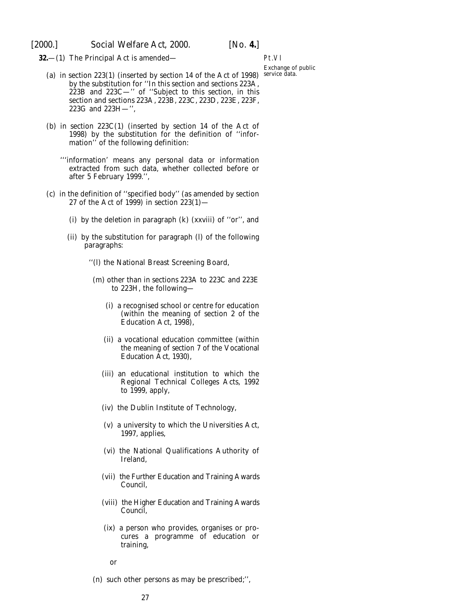<span id="page-26-0"></span>**32.**—(1) The Principal Act is amended—

Pt.VI Exchange of public

- (*a*) in section 223(1) (inserted by section 14 of the Act of 1998) service data. by the substitution for ''In this section and sections 223A, 223B and 223C—'' of ''Subject to this section, in this section and sections 223A, 223B, 223C, 223D, 223E, 223F, 223G and 223H—'',
- (*b*) in section 223C(1) (inserted by section 14 of the Act of 1998) by the substitution for the definition of ''information'' of the following definition:
	- '''information' means any personal data or information extracted from such data, whether collected before or after 5 February 1999.'',
- (*c*) in the definition of ''specified body'' (as amended by section 27 of the Act of 1999) in section  $223(1)$ 
	- (i) by the deletion in paragraph (*k*) (xxviii) of ''or'', and
	- (ii) by the substitution for paragraph (*l*) of the following paragraphs:
		- ''(*l*) the National Breast Screening Board,
			- (*m*) other than in sections 223A to 223C and 223E to 223H, the following—
				- (i) a recognised school or centre for education (within the meaning of section 2 of the Education Act, 1998),
				- (ii) a vocational education committee (within the meaning of section 7 of the Vocational Education Act, 1930),
				- (iii) an educational institution to which the Regional Technical Colleges Acts, 1992 to 1999, apply,
				- (iv) the Dublin Institute of Technology,
				- (v) a university to which the Universities Act, 1997, applies,
				- (vi) the National Qualifications Authority of Ireland,
				- (vii) the Further Education and Training Awards Council,
				- (viii) the Higher Education and Training Awards Council,
				- (ix) a person who provides, organises or procures a programme of education or training,

or

(*n*) such other persons as may be prescribed;'',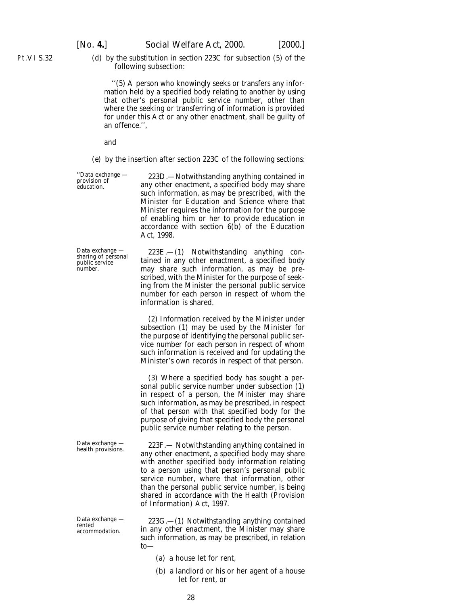Pt.VI S.32

(*d*) by the substitution in section 223C for subsection (5) of the following subsection:

''(5) A person who knowingly seeks or transfers any information held by a specified body relating to another by using that other's personal public service number, other than where the seeking or transferring of information is provided for under this Act or any other enactment, shall be guilty of an offence.'',

and

(*e*) by the insertion after section 223C of the following sections:

"Data exchange  $-$  223D.—Notwithstanding anything contained in provision of any other enactment, a specified body may share any other enactment, a specified body may share such information, as may be prescribed, with the Minister for Education and Science where that Minister requires the information for the purpose of enabling him or her to provide education in accordance with section  $6(b)$  of the Education Act, 1998.

 $\begin{tabular}{llll} Data exchange & $\quad$ 223E$.\,-(1)$ \quad Not with standing & anything & con-  
public service & timed in any other enactment, a specified body \end{tabular}$ sharing of personal tained in any other enactment, a specified body<br>public service the may share such information as may be premay share such information, as may be prescribed, with the Minister for the purpose of seeking from the Minister the personal public service number for each person in respect of whom the information is shared.

> (2) Information received by the Minister under subsection (1) may be used by the Minister for the purpose of identifying the personal public service number for each person in respect of whom such information is received and for updating the Minister's own records in respect of that person.

> (3) Where a specified body has sought a personal public service number under subsection (1) in respect of a person, the Minister may share such information, as may be prescribed, in respect of that person with that specified body for the purpose of giving that specified body the personal public service number relating to the person.

Data exchange — 223F.— Notwithstanding anything contained in health provisions. any other enactment, a specified body may share with another specified body information relating to a person using that person's personal public service number, where that information, other than the personal public service number, is being shared in accordance with the Health (Provision of Information) Act, 1997.

Data exchange  $-$  223G.—(1) Notwithstanding anything contained<br>rented accommodation in any other enactment, the Minister may share in any other enactment, the Minister may share such information, as may be prescribed, in relation to—

- (*a*) a house let for rent,
- (*b*) a landlord or his or her agent of a house let for rent, or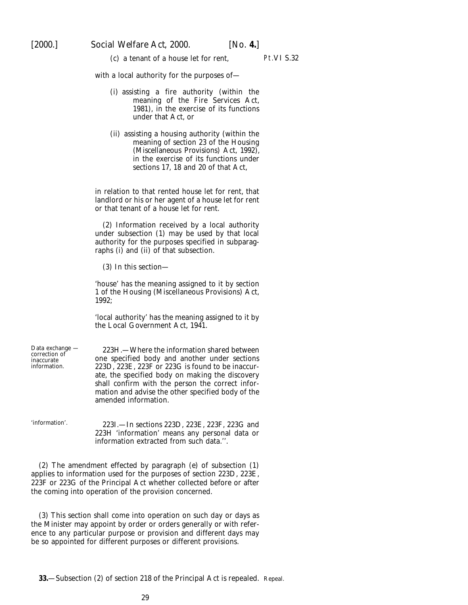(*c*) a tenant of a house let for rent, Pt.VI S.32

<span id="page-28-0"></span>with a local authority for the purposes of—

- (i) assisting a fire authority (within the meaning of the Fire Services Act, 1981), in the exercise of its functions under that Act, or
- (ii) assisting a housing authority (within the meaning of section 23 of the Housing (Miscellaneous Provisions) Act, 1992), in the exercise of its functions under sections 17, 18 and 20 of that Act,

in relation to that rented house let for rent, that landlord or his or her agent of a house let for rent or that tenant of a house let for rent.

(2) Information received by a local authority under subsection (1) may be used by that local authority for the purposes specified in subparagraphs (i) and (ii) of that subsection.

(3) In this section—

'house' has the meaning assigned to it by section 1 of the Housing (Miscellaneous Provisions) Act, 1992;

'local authority' has the meaning assigned to it by the Local Government Act, 1941.

| Data exchange —<br>correction of<br>inaccurate<br>information. | 223H.—Where the information shared between<br>one specified body and another under sections<br>223D, 223E, 223F or 223G is found to be inaccur-<br>ate, the specified body on making the discovery<br>shall confirm with the person the correct infor-<br>mation and advise the other specified body of the<br>amended information. |
|----------------------------------------------------------------|-------------------------------------------------------------------------------------------------------------------------------------------------------------------------------------------------------------------------------------------------------------------------------------------------------------------------------------|
| 'information'.                                                 | 223I. - In sections 223D, 223E, 223F, 223G and<br>223H 'information' means any personal data or<br>information extracted from such data.".                                                                                                                                                                                          |

(2) The amendment effected by paragraph (*e*) of subsection (1) applies to information used for the purposes of section 223D, 223E, 223F or 223G of the Principal Act whether collected before or after the coming into operation of the provision concerned.

(3) This section shall come into operation on such day or days as the Minister may appoint by order or orders generally or with reference to any particular purpose or provision and different days may be so appointed for different purposes or different provisions.

**33.**—Subsection (2) of section 218 of the Principal Act is repealed. Repeal.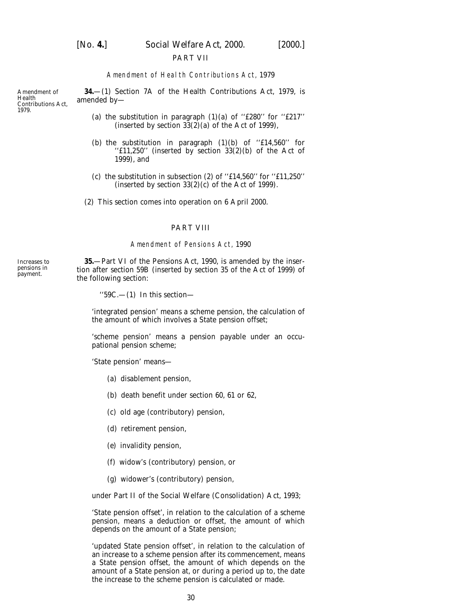<span id="page-29-0"></span>

[*No.* **4.**] *Social Welfare Act,* 2000. [2000.]

#### PART VII

#### Amendment of Health Contributions Act, 1979

**34.**—(1) Section 7A of the Health Contributions Act, 1979, is amended by—

- (*a*) the substitution in paragraph  $(1)(a)$  of "£280" for "£217" (inserted by section  $33(2)(a)$  of the Act of 1999),
- (*b*) the substitution in paragraph  $(1)(b)$  of "£14,560" for ''£11,250'' (inserted by section 33(2)(*b*) of the Act of 1999), and
- ( $c$ ) the substitution in subsection (2) of "£14,560" for "£11,250" (inserted by section  $33(2)(c)$  of the Act of 1999).
- (2) This section comes into operation on 6 April 2000.

#### PART VIII

#### Amendment of Pensions Act, 1990

**35.**—Part VI of the Pensions Act, 1990, is amended by the insertion after section 59B (inserted by section 35 of the Act of 1999) of the following section:

 $"59C.$ —(1) In this section—

'integrated pension' means a scheme pension, the calculation of the amount of which involves a State pension offset;

'scheme pension' means a pension payable under an occupational pension scheme;

'State pension' means—

- (*a*) disablement pension,
- (*b*) death benefit under section 60, 61 or 62,
- (*c*) old age (contributory) pension,
- (*d*) retirement pension,
- (*e*) invalidity pension,
- (*f*) widow's (contributory) pension, or
- (*g*) widower's (contributory) pension,

under Part II of the Social Welfare (Consolidation) Act, 1993;

'State pension offset', in relation to the calculation of a scheme pension, means a deduction or offset, the amount of which depends on the amount of a State pension;

'updated State pension offset', in relation to the calculation of an increase to a scheme pension after its commencement, means a State pension offset, the amount of which depends on the amount of a State pension at, or during a period up to, the date the increase to the scheme pension is calculated or made.

Amendment of Health Contributions Act, 1979.

Increases to pensions in payment.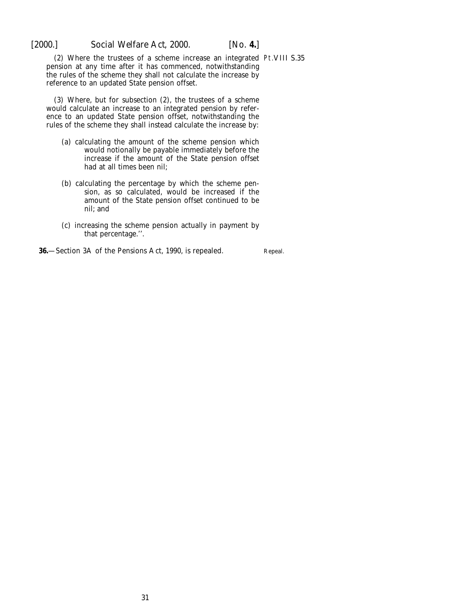<span id="page-30-0"></span>

(2) Where the trustees of a scheme increase an integrated Pt.VIII S.35 pension at any time after it has commenced, notwithstanding the rules of the scheme they shall not calculate the increase by reference to an updated State pension offset.

(3) Where, but for subsection (2), the trustees of a scheme would calculate an increase to an integrated pension by reference to an updated State pension offset, notwithstanding the rules of the scheme they shall instead calculate the increase by:

- (*a*) calculating the amount of the scheme pension which would notionally be payable immediately before the increase if the amount of the State pension offset had at all times been nil;
- (*b*) calculating the percentage by which the scheme pension, as so calculated, would be increased if the amount of the State pension offset continued to be nil; and
- (*c*) increasing the scheme pension actually in payment by that percentage.''.

**36.**—Section 3A of the Pensions Act, 1990, is repealed.

Repeal.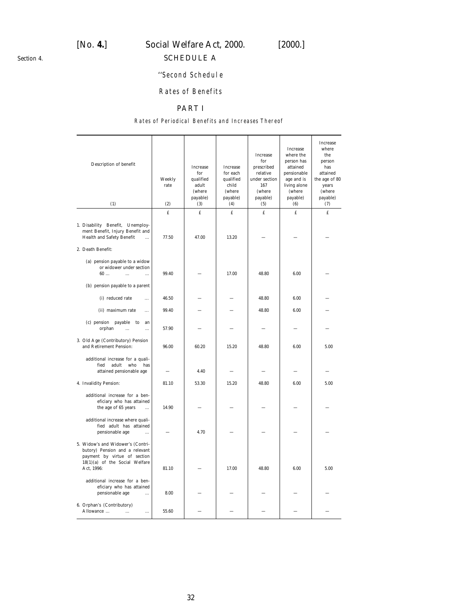# <span id="page-31-0"></span>[*No.* **4.**] *Social Welfare Act,* 2000. [2000.]

# SCHEDULE A

# ''Second Schedule

## Rates of Benefits

# PART I

#### Rates of Periodical Benefits and Increases Thereof

| Description of benefit<br>(1)                                                                                                                         | Weekly<br>rate<br>(2) | <b>Increase</b><br>for<br>qualified<br>adult<br>(where<br>payable)<br>(3) | Increase<br>for each<br>qualified<br>child<br>(where<br>payable)<br>(4) | Increase<br>for<br>prescribed<br>relative<br>under section<br>167<br>(where<br>payable)<br>(5) | Increase<br>where the<br>person has<br>attained<br>pensionable<br>age and is<br>living alone<br>(where<br>payable)<br>(6) | Increase<br>where<br>the<br>person<br>has<br>attained<br>the age of 80<br>years<br>(where<br>payable)<br>(7) |
|-------------------------------------------------------------------------------------------------------------------------------------------------------|-----------------------|---------------------------------------------------------------------------|-------------------------------------------------------------------------|------------------------------------------------------------------------------------------------|---------------------------------------------------------------------------------------------------------------------------|--------------------------------------------------------------------------------------------------------------|
|                                                                                                                                                       | £                     | $\mathbf f$                                                               | £                                                                       | £                                                                                              | £                                                                                                                         | $\mathbf f$                                                                                                  |
| 1. Disability Benefit, Unemploy-<br>ment Benefit, Injury Benefit and<br>Health and Safety Benefit<br>$\cdots$<br>2. Death Benefit:                    | 77.50                 | 47.00                                                                     | 13.20                                                                   |                                                                                                |                                                                                                                           |                                                                                                              |
| (a) pension payable to a widow<br>or widower under section<br>60<br>$\dddotsc$<br>$\ddotsc$<br>$(b)$ pension payable to a parent                      | 99.40                 |                                                                           | 17.00                                                                   | 48.80                                                                                          | 6.00                                                                                                                      |                                                                                                              |
| (i) reduced rate<br>$\ddotsc$                                                                                                                         | 46.50                 |                                                                           |                                                                         | 48.80                                                                                          | 6.00                                                                                                                      |                                                                                                              |
| (ii) maximum rate<br>$\ddotsc$                                                                                                                        | 99.40                 |                                                                           |                                                                         | 48.80                                                                                          | 6.00                                                                                                                      |                                                                                                              |
| $(c)$ pension payable<br>to<br>an<br>orphan<br>$\ddotsc$<br>                                                                                          | 57.90                 |                                                                           |                                                                         |                                                                                                |                                                                                                                           |                                                                                                              |
| 3. Old Age (Contributory) Pension<br>and Retirement Pension:                                                                                          | 96.00                 | 60.20                                                                     | 15.20                                                                   | 48.80                                                                                          | 6.00                                                                                                                      | 5.00                                                                                                         |
| additional increase for a quali-<br>who<br>fied<br>adult<br>has<br>attained pensionable age                                                           |                       | 4.40                                                                      |                                                                         |                                                                                                |                                                                                                                           |                                                                                                              |
| 4. Invalidity Pension:                                                                                                                                | 81.10                 | 53.30                                                                     | 15.20                                                                   | 48.80                                                                                          | 6.00                                                                                                                      | 5.00                                                                                                         |
| additional increase for a ben-<br>eficiary who has attained<br>the age of 65 years<br>$\ddotsc$                                                       | 14.90                 |                                                                           |                                                                         |                                                                                                |                                                                                                                           |                                                                                                              |
| additional increase where quali-<br>fied adult has attained<br>pensionable age<br>$\ddotsc$                                                           |                       | 4.70                                                                      |                                                                         |                                                                                                |                                                                                                                           |                                                                                                              |
| 5. Widow's and Widower's (Contri-<br>butory) Pension and a relevant<br>payment by virtue of section<br>$18(1)(a)$ of the Social Welfare<br>Act, 1996: | 81.10                 |                                                                           | 17.00                                                                   | 48.80                                                                                          | 6.00                                                                                                                      | 5.00                                                                                                         |
| additional increase for a ben-<br>eficiary who has attained<br>pensionable age<br>                                                                    | 8.00                  |                                                                           |                                                                         |                                                                                                |                                                                                                                           |                                                                                                              |
| 6. Orphan's (Contributory)<br>Allowance<br>$\ldots$<br>$\ddotsc$                                                                                      | 55.60                 |                                                                           |                                                                         |                                                                                                |                                                                                                                           |                                                                                                              |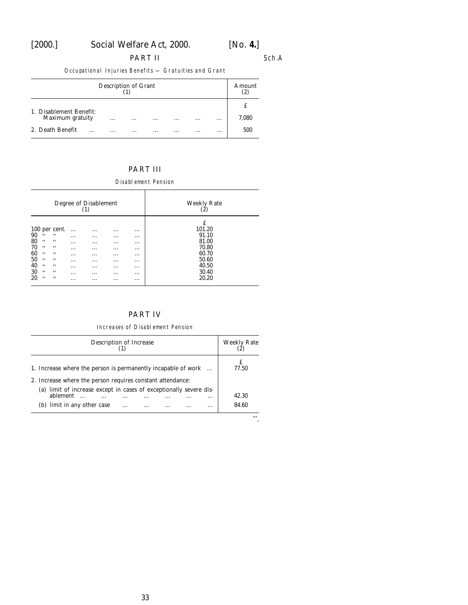# [2000.] *Social Welfare Act,* 2000. [*No.* **4.**]

PART II Sch.A

Occupational Injuries Benefits — Gratuities and Grant

| Description of Grant                        |          |          |          |          |          |          |          |            |
|---------------------------------------------|----------|----------|----------|----------|----------|----------|----------|------------|
| 1. Disablement Benefit:<br>Maximum gratuity |          | $\cdots$ | $\cdots$ | $\cdots$ | $\cdots$ | $\cdots$ | $\cdots$ | £<br>7,080 |
| 2. Death Benefit                            | $\cdots$ | $\cdots$ | $\cdots$ | .        | $\cdots$ | $\cdots$ | $\cdots$ | 500        |

# PART III

Disablement Pension

|                                                                                                                                                                      |                                                                                     | Degree of Disablement<br>(1)                                          |                                                                                                          |                                                                                                          | Weekly Rate<br>(2)                                                                  |
|----------------------------------------------------------------------------------------------------------------------------------------------------------------------|-------------------------------------------------------------------------------------|-----------------------------------------------------------------------|----------------------------------------------------------------------------------------------------------|----------------------------------------------------------------------------------------------------------|-------------------------------------------------------------------------------------|
| 100 per cent.<br>90<br>,,<br>,,<br>80<br>,,<br>, ,<br>70<br>,,<br>, ,<br>60<br>,,<br>, ,<br>50<br>,,<br>, ,<br>40<br>,,<br>, ,<br>30<br>,,<br>, ,<br>20<br>,,<br>, , | $\cdots$<br>$\cdots$<br>$\cdots$<br>$\cdots$<br>.<br>$\cdots$<br>.<br>.<br>$\cdots$ | .<br>$\cdots$<br>$\cdots$<br>$\cdots$<br>$\cdots$<br>.<br>.<br>.<br>. | $\cdots$<br>$\cdots$<br>$\cdots$<br>$\cdots$<br>$\cdots$<br>$\cdots$<br>$\cdots$<br>$\cdots$<br>$\cdots$ | $\cdots$<br>$\cdots$<br>$\cdots$<br>$\cdots$<br>$\cdots$<br>$\cdots$<br>$\cdots$<br>$\cdots$<br>$\cdots$ | £<br>101.20<br>91.10<br>81.00<br>70.80<br>60.70<br>50.60<br>40.50<br>30.40<br>20.20 |

# PART IV

#### Increases of Disablement Pension

| Description of Increase                                                                                                     | <b>Weekly Rate</b> |
|-----------------------------------------------------------------------------------------------------------------------------|--------------------|
| 1. Increase where the person is permanently incapable of work<br>2. Increase where the person requires constant attendance: | 77.50              |
| (a) limit of increase except in cases of exceptionally severe dis-<br>ablement<br>$\ddotsc$<br>                             | 42.30              |
| $(b)$ limit in any other case<br>$\cdots$                                                                                   | 84.60              |
|                                                                                                                             | ,,                 |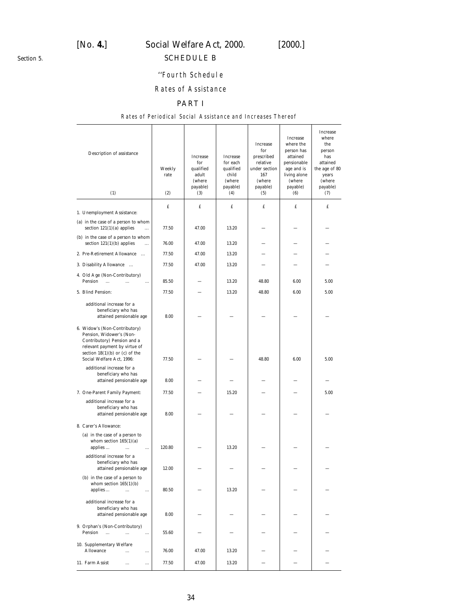<span id="page-33-0"></span>*Section 5.*

# [*No.* **4.**] *Social Welfare Act,* 2000. [2000.]

# SCHEDULE B

## ''Fourth Schedule

# Rates of Assistance

## PART I

#### Rates of Periodical Social Assistance and Increases Thereof

| Description of assistance<br>(1)                                                                                                                                                             | Weekly<br>rate<br>(2) | Increase<br>for<br>qualified<br>adult<br>(where<br>payable)<br>(3) | Increase<br>for each<br>qualified<br>child<br>(where<br>payable)<br>(4) | Increase<br>for<br>prescribed<br>relative<br>under section<br>167<br>(where<br>payable)<br>(5) | Increase<br>where the<br>person has<br>attained<br>pensionable<br>age and is<br>living alone<br>(where<br>payable)<br>(6) | Increase<br>where<br>the<br>person<br>has<br>attained<br>the age of 80<br>years<br>(where<br>payable)<br>(7) |
|----------------------------------------------------------------------------------------------------------------------------------------------------------------------------------------------|-----------------------|--------------------------------------------------------------------|-------------------------------------------------------------------------|------------------------------------------------------------------------------------------------|---------------------------------------------------------------------------------------------------------------------------|--------------------------------------------------------------------------------------------------------------|
|                                                                                                                                                                                              | £                     | £                                                                  | £                                                                       | £                                                                                              | £                                                                                                                         | £                                                                                                            |
| 1. Unemployment Assistance:                                                                                                                                                                  |                       |                                                                    |                                                                         |                                                                                                |                                                                                                                           |                                                                                                              |
| $(a)$ in the case of a person to whom<br>section $121(1)(a)$ applies<br>$\ddotsc$                                                                                                            | 77.50                 | 47.00                                                              | 13.20                                                                   |                                                                                                |                                                                                                                           |                                                                                                              |
| $(b)$ in the case of a person to whom<br>section $121(1)(b)$ applies<br>$\cdots$                                                                                                             | 76.00                 | 47.00                                                              | 13.20                                                                   |                                                                                                |                                                                                                                           |                                                                                                              |
| 2. Pre-Retirement Allowance                                                                                                                                                                  | 77.50                 | 47.00                                                              | 13.20                                                                   |                                                                                                |                                                                                                                           |                                                                                                              |
| 3. Disability Allowance                                                                                                                                                                      | 77.50                 | 47.00                                                              | 13.20                                                                   |                                                                                                |                                                                                                                           |                                                                                                              |
| 4. Old Age (Non-Contributory)<br>Pension<br>$\cdots$<br>$\ddotsc$<br>$\cdots$                                                                                                                | 85.50                 |                                                                    | 13.20                                                                   | 48.80                                                                                          | 6.00                                                                                                                      | 5.00                                                                                                         |
| 5. Blind Pension:                                                                                                                                                                            | 77.50                 |                                                                    | 13.20                                                                   | 48.80                                                                                          | 6.00                                                                                                                      | 5.00                                                                                                         |
| additional increase for a<br>beneficiary who has<br>attained pensionable age                                                                                                                 | 8.00                  |                                                                    |                                                                         |                                                                                                |                                                                                                                           |                                                                                                              |
| 6. Widow's (Non-Contributory)<br>Pension, Widower's (Non-<br>Contributory) Pension and a<br>relevant payment by virtue of<br>section $18(1)(b)$ or $(c)$ of the<br>Social Welfare Act, 1996: | 77.50                 |                                                                    |                                                                         | 48.80                                                                                          | 6.00                                                                                                                      | 5.00                                                                                                         |
| additional increase for a<br>beneficiary who has<br>attained pensionable age                                                                                                                 | 8.00                  |                                                                    |                                                                         |                                                                                                |                                                                                                                           |                                                                                                              |
| 7. One-Parent Family Payment:                                                                                                                                                                | 77.50                 |                                                                    | 15.20                                                                   |                                                                                                |                                                                                                                           | 5.00                                                                                                         |
| additional increase for a<br>beneficiary who has<br>attained pensionable age                                                                                                                 | 8.00                  |                                                                    |                                                                         |                                                                                                |                                                                                                                           |                                                                                                              |
| 8. Carer's Allowance:                                                                                                                                                                        |                       |                                                                    |                                                                         |                                                                                                |                                                                                                                           |                                                                                                              |
| $(a)$ in the case of a person to<br>whom section $165(1)(a)$<br>applies<br>$\ddotsc$<br>$\cdots$                                                                                             | 120.80                |                                                                    | 13.20                                                                   |                                                                                                |                                                                                                                           |                                                                                                              |
| additional increase for a<br>beneficiary who has<br>attained pensionable age                                                                                                                 | 12.00                 |                                                                    |                                                                         |                                                                                                |                                                                                                                           |                                                                                                              |
| $(b)$ in the case of a person to<br>whom section $165(1)(b)$<br>applies<br>$\cdots$<br>$\cdots$                                                                                              | 80.50                 |                                                                    | 13.20                                                                   |                                                                                                |                                                                                                                           |                                                                                                              |
| additional increase for a<br>beneficiary who has<br>attained pensionable age                                                                                                                 | 8.00                  |                                                                    |                                                                         |                                                                                                |                                                                                                                           |                                                                                                              |
| 9. Orphan's (Non-Contributory)<br>Pension<br>$\cdots$<br>$\cdots$<br>$\cdots$                                                                                                                | 55.60                 |                                                                    |                                                                         |                                                                                                |                                                                                                                           |                                                                                                              |
| 10. Supplementary Welfare<br>Allowance<br>.<br>                                                                                                                                              | 76.00                 | 47.00                                                              | 13.20                                                                   |                                                                                                |                                                                                                                           |                                                                                                              |
| 11. Farm Assist<br>$\ldots$<br>                                                                                                                                                              | 77.50                 | 47.00                                                              | 13.20                                                                   |                                                                                                |                                                                                                                           |                                                                                                              |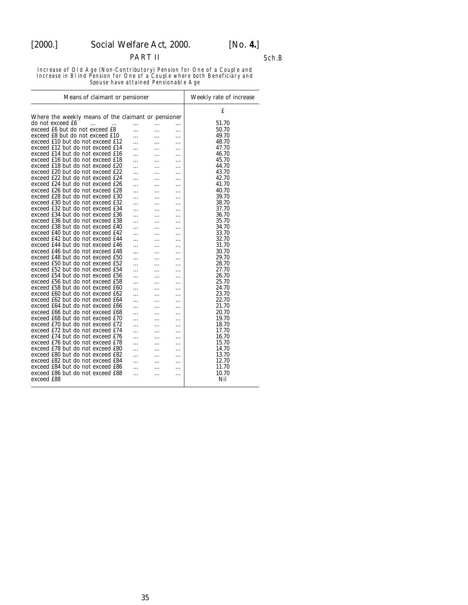## PART II Sch.B

Increase of Old Age (Non-Contributory) Pension for One of a Couple and Increase in Blind Pension for One of a Couple where both Beneficiary and Spouse have attained Pensionable Age

| Means of claimant or pensioner                      | Weekly rate of increase |                 |          |       |
|-----------------------------------------------------|-------------------------|-----------------|----------|-------|
|                                                     |                         |                 |          | £     |
| Where the weekly means of the claimant or pensioner |                         |                 |          |       |
| do not exceed £6<br>$\ddotsc$<br>$\cdots$           | $\ddotsc$               | .               | $\cdots$ | 51.70 |
| exceed £6 but do not exceed £8                      | .                       | $\cdot$ $\cdot$ | .        | 50.70 |
| exceed £8 but do not exceed £10                     | .                       | .               | .        | 49.70 |
| exceed £10 but do not exceed £12                    |                         | .               | .        | 48.70 |
| exceed £12 but do not exceed £14                    | .                       | .               | .        | 47.70 |
| exceed £14 but do not exceed £16                    |                         | .               | .        | 46.70 |
| exceed £16 but do not exceed £18                    |                         | .               |          | 45.70 |
| exceed £18 but do not exceed £20                    | .                       | .               | .        | 44.70 |
| exceed £20 but do not exceed £22                    | .                       | .               | .        | 43.70 |
| exceed £22 but do not exceed £24                    | .                       | .               | .        | 42.70 |
| exceed £24 but do not exceed £26                    | .                       | .               | .        | 41.70 |
| exceed £26 but do not exceed £28                    |                         |                 | .        | 40.70 |
| exceed £28 but do not exceed £30                    |                         |                 | .        | 39.70 |
| exceed £30 but do not exceed £32                    |                         | .               | .        | 38.70 |
| exceed £32 but do not exceed £34                    | .                       |                 |          | 37.70 |
| exceed £34 but do not exceed £36                    |                         | .               | .        | 36.70 |
| exceed £36 but do not exceed £38                    | .                       | .               | .        | 35.70 |
| exceed £38 but do not exceed £40                    | .                       | .               | .        | 34.70 |
|                                                     | .                       | .               | .        | 33.70 |
| exceed £40 but do not exceed £42                    |                         | .               | .        |       |
| exceed £42 but do not exceed £44                    | .                       | .               |          | 32.70 |
| exceed £44 but do not exceed £46                    | .                       | .               | .        | 31.70 |
| exceed £46 but do not exceed £48                    | .                       | .               |          | 30.70 |
| exceed £48 but do not exceed £50                    | .                       | .               | .        | 29.70 |
| exceed £50 but do not exceed £52                    |                         | .               | .        | 28.70 |
| exceed £52 but do not exceed £54                    |                         | .               | .        | 27.70 |
| exceed £54 but do not exceed £56                    |                         | .               | .        | 26.70 |
| exceed £56 but do not exceed £58                    |                         | .               | .        | 25.70 |
| exceed £58 but do not exceed £60                    |                         | .               |          | 24.70 |
| exceed £60 but do not exceed £62                    | .                       | .               | .        | 23.70 |
| exceed £62 but do not exceed £64                    | .                       | .               | .        | 22.70 |
| exceed £64 but do not exceed £66                    | .                       | .               |          | 21.70 |
| exceed £66 but do not exceed £68                    | .                       | .               | .        | 20.70 |
| exceed £68 but do not exceed £70                    | .                       | .               | .        | 19.70 |
| exceed £70 but do not exceed £72                    | .                       | .               | .        | 18.70 |
| exceed £72 but do not exceed £74                    | .                       | .               |          | 17.70 |
| exceed £74 but do not exceed £76                    | .                       | .               | .        | 16.70 |
| exceed £76 but do not exceed £78                    |                         |                 |          | 15.70 |
| exceed £78 but do not exceed £80                    | .                       | .               |          | 14.70 |
| exceed £80 but do not exceed £82                    | .                       | .               | .        | 13.70 |
| exceed £82 but do not exceed £84                    |                         |                 | .        | 12.70 |
|                                                     |                         |                 | .        |       |
| exceed £84 but do not exceed £86                    |                         |                 |          | 11.70 |
| exceed £86 but do not exceed £88                    | .                       | .               |          | 10.70 |
| exceed £88                                          |                         |                 |          | Nil   |
|                                                     |                         |                 |          |       |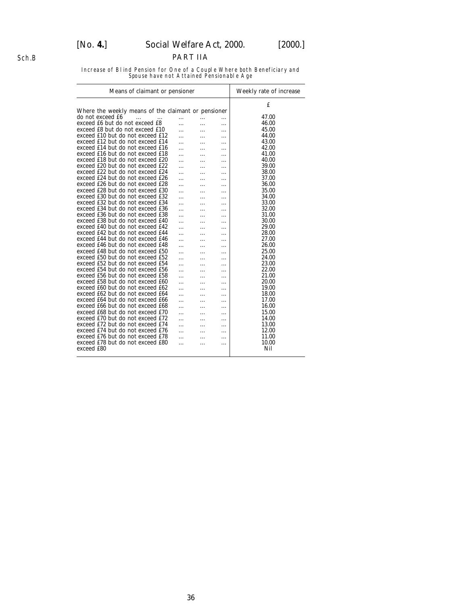# PART IIA

Increase of Blind Pension for One of a Couple Where both Beneficiary and Spouse have not Attained Pensionable Age

| Means of claimant or pensioner                      | Weekly rate of increase |   |   |       |
|-----------------------------------------------------|-------------------------|---|---|-------|
|                                                     |                         |   |   | £     |
| Where the weekly means of the claimant or pensioner |                         |   |   |       |
| do not exceed £6<br>.                               | .                       | . | . | 47.00 |
| exceed £6 but do not exceed £8                      | .                       | . | . | 46.00 |
| exceed £8 but do not exceed £10                     |                         | . | . | 45.00 |
| exceed £10 but do not exceed £12                    | .                       | . | . | 44.00 |
| exceed £12 but do not exceed £14                    |                         | . | . | 43.00 |
| exceed £14 but do not exceed £16                    |                         | . | . | 42.00 |
| exceed £16 but do not exceed £18                    |                         | . | . | 41.00 |
| exceed £18 but do not exceed £20                    |                         | . | . | 40.00 |
| exceed £20 but do not exceed £22                    |                         |   | . | 39.00 |
| exceed £22 but do not exceed £24                    | .                       | . | . | 38.00 |
| exceed £24 but do not exceed £26                    |                         |   | . | 37.00 |
| exceed £26 but do not exceed £28                    |                         |   | . | 36.00 |
| exceed £28 but do not exceed £30                    |                         | . | . | 35.00 |
| exceed £30 but do not exceed £32                    |                         |   | . | 34.00 |
| exceed £32 but do not exceed £34                    | .                       | . | . | 33.00 |
| exceed £34 but do not exceed £36                    |                         | . | . | 32.00 |
| exceed £36 but do not exceed £38                    |                         |   | . | 31.00 |
| exceed £38 but do not exceed £40                    |                         | . | . | 30.00 |
| exceed £40 but do not exceed £42                    |                         |   | . | 29.00 |
| exceed £42 but do not exceed £44                    |                         |   | . | 28.00 |
| exceed £44 but do not exceed £46                    | .                       | . | . | 27.00 |
| exceed £46 but do not exceed £48                    |                         |   | . | 26.00 |
| exceed £48 but do not exceed £50                    |                         | . | . | 25.00 |
| exceed £50 but do not exceed £52                    | .                       | . | . | 24.00 |
| exceed £52 but do not exceed £54                    |                         |   | . | 23.00 |
| exceed £54 but do not exceed £56                    |                         | . | . | 22.00 |
| exceed £56 but do not exceed £58                    |                         |   | . | 21.00 |
| exceed £58 but do not exceed £60                    |                         |   | . | 20.00 |
| exceed £60 but do not exceed £62                    |                         | . | . | 19.00 |
| exceed £62 but do not exceed £64                    |                         |   | . | 18.00 |
| exceed £64 but do not exceed £66                    | .                       | . | . | 17.00 |
| exceed £66 but do not exceed £68                    |                         | . | . | 16.00 |
| exceed £68 but do not exceed £70                    |                         |   | . | 15.00 |
| exceed £70 but do not exceed £72                    | .                       | . | . | 14.00 |
| exceed £72 but do not exceed £74                    |                         |   | . | 13.00 |
| exceed £74 but do not exceed £76                    |                         |   | . | 12.00 |
| exceed £76 but do not exceed £78                    |                         | . | . | 11.00 |
| exceed £78 but do not exceed £80                    | .                       | . | . | 10.00 |
| exceed £80                                          |                         |   |   | Nil   |
|                                                     |                         |   |   |       |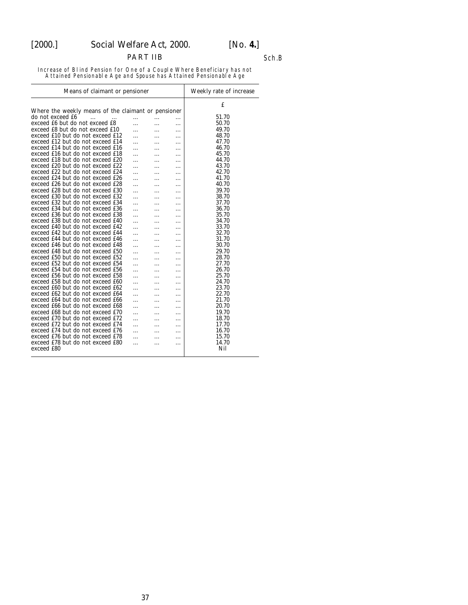# [2000.] *Social Welfare Act,* 2000. [*No.* **4.**]

PART IIB Sch.B

Increase of Blind Pension for One of a Couple Where Beneficiary has not Attained Pensionable Age and Spouse has Attained Pensionable Age

| Means of claimant or pensioner                      | Weekly rate of increase |   |   |       |
|-----------------------------------------------------|-------------------------|---|---|-------|
| Where the weekly means of the claimant or pensioner |                         |   |   | £     |
| do not exceed £6<br>$\cdots$                        |                         |   |   | 51.70 |
| exceed £6 but do not exceed £8                      | .                       | . | . | 50.70 |
| exceed £8 but do not exceed £10                     |                         | . | . | 49.70 |
| exceed £10 but do not exceed £12                    | .                       | . | . | 48.70 |
| exceed £12 but do not exceed £14                    | .                       | . | . | 47.70 |
| exceed £14 but do not exceed £16                    |                         | . | . | 46.70 |
| exceed £16 but do not exceed £18                    | .                       | . | . | 45.70 |
| exceed £18 but do not exceed £20                    | .                       | . | . | 44.70 |
| exceed £20 but do not exceed £22                    |                         | . | . | 43.70 |
| exceed £22 but do not exceed £24                    |                         |   | . | 42.70 |
| exceed £24 but do not exceed £26                    | .                       | . | . | 41.70 |
| exceed £26 but do not exceed £28                    |                         | . | . | 40.70 |
|                                                     |                         |   | . | 39.70 |
| exceed £28 but do not exceed £30                    |                         |   | . |       |
| exceed £30 but do not exceed £32                    | .                       | . | . | 38.70 |
| exceed £32 but do not exceed £34                    |                         | . | . | 37.70 |
| exceed £34 but do not exceed £36                    | .                       | . | . | 36.70 |
| exceed £36 but do not exceed £38                    |                         | . | . | 35.70 |
| exceed £38 but do not exceed £40                    | .                       | . | . | 34.70 |
| exceed £40 but do not exceed £42                    |                         |   | . | 33.70 |
| exceed £42 but do not exceed £44                    |                         |   | . | 32.70 |
| exceed £44 but do not exceed £46                    |                         | . |   | 31.70 |
| exceed £46 but do not exceed £48                    |                         |   | . | 30.70 |
| exceed £48 but do not exceed £50                    |                         |   | . | 29.70 |
| exceed £50 but do not exceed £52                    |                         |   | . | 28.70 |
| exceed £52 but do not exceed £54                    | .                       | . | . | 27.70 |
| exceed £54 but do not exceed £56                    |                         | . | . | 26.70 |
| exceed £56 but do not exceed £58                    |                         | . | . | 25.70 |
| exceed £58 but do not exceed £60                    | .                       |   | . | 24.70 |
| exceed £60 but do not exceed £62                    | .                       | . | . | 23.70 |
| exceed £62 but do not exceed £64                    |                         |   | . | 22.70 |
| exceed £64 but do not exceed £66                    | .                       | . | . | 21.70 |
| exceed £66 but do not exceed £68                    | .                       | . | . | 20.70 |
| exceed £68 but do not exceed £70                    |                         | . | . | 19.70 |
| exceed £70 but do not exceed £72                    |                         |   | . | 18.70 |
| exceed £72 but do not exceed £74                    | .                       | . | . | 17.70 |
| exceed £74 but do not exceed £76                    |                         | . | . | 16.70 |
| exceed £76 but do not exceed £78                    |                         |   | . | 15.70 |
| exceed £78 but do not exceed £80                    | .                       | . | . | 14.70 |
| exceed £80                                          |                         |   |   | Nil   |
|                                                     |                         |   |   |       |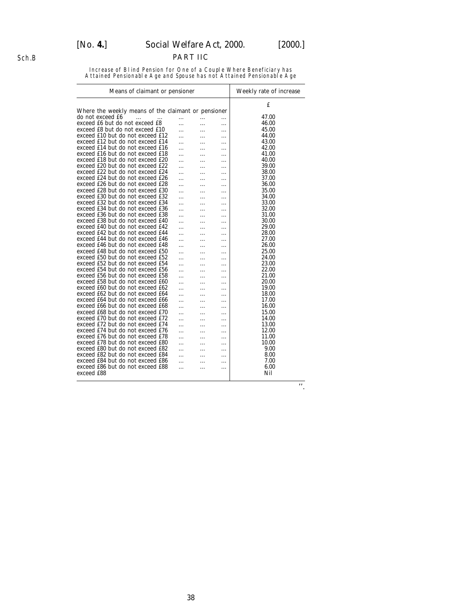# [*No.* **4.**] *Social Welfare Act,* 2000. [2000.]

# PART IIC

Increase of Blind Pension for One of a Couple Where Beneficiary has Attained Pensionable Age and Spouse has not Attained Pensionable Age

| Means of claimant or pensioner                      | Weekly rate of increase |   |   |       |
|-----------------------------------------------------|-------------------------|---|---|-------|
| Where the weekly means of the claimant or pensioner |                         |   |   | £     |
| do not exceed £6<br>.<br>$\ddotsc$                  | .                       | . | . | 47.00 |
| exceed £6 but do not exceed £8                      | .                       | . | . | 46.00 |
| exceed £8 but do not exceed £10                     | .                       | . | . | 45.00 |
| exceed £10 but do not exceed £12                    | .                       | . | . | 44.00 |
| exceed £12 but do not exceed £14                    |                         | . | . | 43.00 |
| exceed £14 but do not exceed £16                    |                         | . | . | 42.00 |
| exceed £16 but do not exceed £18                    |                         | . | . | 41.00 |
| exceed £18 but do not exceed £20                    |                         | . | . | 40.00 |
| exceed £20 but do not exceed £22                    |                         | . | . | 39.00 |
| exceed £22 but do not exceed £24                    | .                       | . | . | 38.00 |
| exceed £24 but do not exceed £26                    | .                       | . | . | 37.00 |
| exceed £26 but do not exceed £28                    | .                       | . | . | 36.00 |
| exceed £28 but do not exceed £30                    |                         | . | . | 35.00 |
| exceed £30 but do not exceed £32                    |                         | . | . | 34.00 |
| exceed £32 but do not exceed £34                    | .                       | . | . | 33.00 |
| exceed £34 but do not exceed £36                    |                         | . | . | 32.00 |
| exceed £36 but do not exceed £38                    |                         | . | . | 31.00 |
| exceed £38 but do not exceed £40                    |                         | . | . | 30.00 |
| exceed £40 but do not exceed £42                    |                         | . | . | 29.00 |
| exceed £42 but do not exceed £44                    |                         | . | . | 28.00 |
| exceed £44 but do not exceed £46                    |                         | . | . | 27.00 |
| exceed £46 but do not exceed £48                    |                         | . | . | 26.00 |
| exceed £48 but do not exceed £50                    |                         | . | . | 25.00 |
| exceed £50 but do not exceed £52                    |                         | . | . | 24.00 |
| exceed £52 but do not exceed £54                    |                         | . | . | 23.00 |
| exceed £54 but do not exceed £56                    | .                       | . | . | 22.00 |
| exceed £56 but do not exceed £58                    | .                       | . | . | 21.00 |
| exceed £58 but do not exceed £60                    |                         | . | . | 20.00 |
| exceed £60 but do not exceed £62                    |                         | . | . | 19.00 |
| exceed £62 but do not exceed £64                    | .                       | . | . | 18.00 |
| exceed £64 but do not exceed £66                    | .                       | . | . | 17.00 |
| exceed £66 but do not exceed £68                    |                         | . | . | 16.00 |
| exceed £68 but do not exceed £70                    |                         | . | . | 15.00 |
| exceed £70 but do not exceed £72                    |                         | . | . | 14.00 |
| exceed £72 but do not exceed £74                    | .                       | . | . | 13.00 |
| exceed £74 but do not exceed £76                    | .                       | . |   | 12.00 |
| exceed £76 but do not exceed £78                    | .                       | . | . | 11.00 |
| exceed £78 but do not exceed £80                    |                         | . | . | 10.00 |
| exceed £80 but do not exceed £82                    |                         | . | . | 9.00  |
| exceed £82 but do not exceed £84                    |                         | . | . | 8.00  |
| exceed £84 but do not exceed £86                    | .                       | . | . | 7.00  |
| exceed £86 but do not exceed £88                    | .                       | . | . | 6.00  |
| exceed £88                                          |                         |   |   | Nil   |
|                                                     |                         |   |   |       |

''.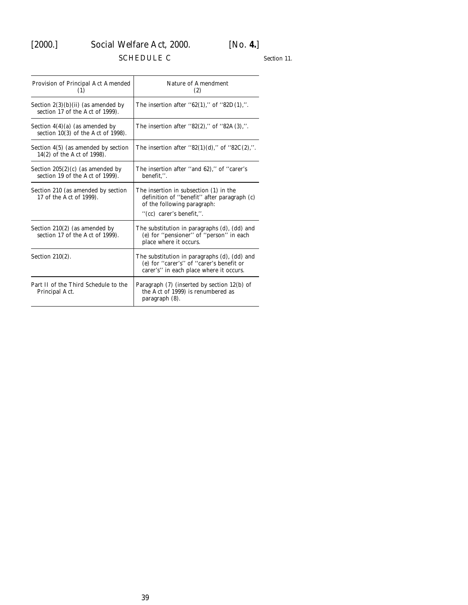# <span id="page-38-0"></span>[2000.] *Social Welfare Act,* 2000. [*No.* **4.**]

# SCHEDULE C

*Section 11.*

| Provision of Principal Act Amended<br>(1)                                | Nature of Amendment<br>(2)                                                                                                                            |
|--------------------------------------------------------------------------|-------------------------------------------------------------------------------------------------------------------------------------------------------|
| Section $2(3)(b)(ii)$ (as amended by<br>section 17 of the Act of 1999).  | The insertion after "62(1)," of "82D(1),".                                                                                                            |
| Section $4(4)(a)$ (as amended by<br>section $10(3)$ of the Act of 1998). | The insertion after "82(2)," of "82A(3),".                                                                                                            |
| Section 4(5) (as amended by section<br>14(2) of the Act of 1998).        | The insertion after "82(1)(d)," of "82C(2),".                                                                                                         |
| Section $205(2)(c)$ (as amended by<br>section 19 of the Act of 1999).    | The insertion after "and 62)," of "carer's<br>benefit.".                                                                                              |
| Section 210 (as amended by section<br>17 of the Act of 1999).            | The insertion in subsection (1) in the<br>definition of "benefit" after paragraph $(c)$<br>of the following paragraph:<br>" $(cc)$ carer's benefit,". |
| Section $210(2)$ (as amended by<br>section 17 of the Act of 1999).       | The substitution in paragraphs $(d)$ , $(dd)$ and<br>(e) for "pensioner" of "person" in each<br>place where it occurs.                                |
| Section $210(2)$ .                                                       | The substitution in paragraphs $(d)$ , $(dd)$ and<br>(e) for "carer's" of "carer's benefit or<br>carer's" in each place where it occurs.              |
| Part II of the Third Schedule to the<br>Principal Act.                   | Paragraph $(7)$ (inserted by section $12(b)$ of<br>the Act of 1999) is renumbered as<br>paragraph (8).                                                |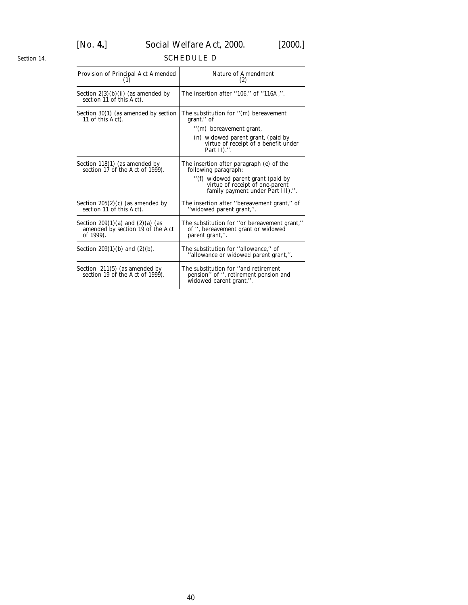# [*No.* **4.**] *Social Welfare Act,* 2000. [2000.]

# SCHEDULE D

| Provision of Principal Act Amended<br>(1)                                             | Nature of Amendment<br>(2)                                                                                                                                                                        |
|---------------------------------------------------------------------------------------|---------------------------------------------------------------------------------------------------------------------------------------------------------------------------------------------------|
| Section $2(3)(b)(ii)$ (as amended by<br>section 11 of this Act).                      | The insertion after "106," of "116A,".                                                                                                                                                            |
| Section 30(1) (as amended by <i>section</i><br>11 of this Act).                       | The substitution for $\lq(m)$ bereavement<br>grant." of<br>$\cdot$ ( <i>m</i> ) bereavement grant,<br>$(n)$ widowed parent grant, (paid by<br>virtue of receipt of a benefit under<br>Part II).". |
| Section 118(1) (as amended by<br>section 17 of the Act of 1999).                      | The insertion after paragraph $(e)$ of the<br>following paragraph:<br>"(f) widowed parent grant (paid by<br>virtue of receipt of one-parent<br>family payment under Part III),".                  |
| Section $205(2)(c)$ (as amended by<br>section 11 of this Act).                        | The insertion after "bereavement grant," of<br>"widowed parent grant,".                                                                                                                           |
| Section $209(1)(a)$ and $(2)(a)$ (as<br>amended by section 19 of the Act<br>of 1999). | The substitution for "or bereavement grant,"<br>of ", bereavement grant or widowed<br>parent grant,".                                                                                             |
| Section 209(1)( <i>b</i> ) and (2)( <i>b</i> ).                                       | The substitution for "allowance," of<br>"allowance or widowed parent grant,".                                                                                                                     |
| Section $211(5)$ (as amended by<br>section 19 of the Act of 1999).                    | The substitution for "and retirement<br>pension" of ", retirement pension and<br>widowed parent grant,".                                                                                          |

<span id="page-39-0"></span>*Section 14.*